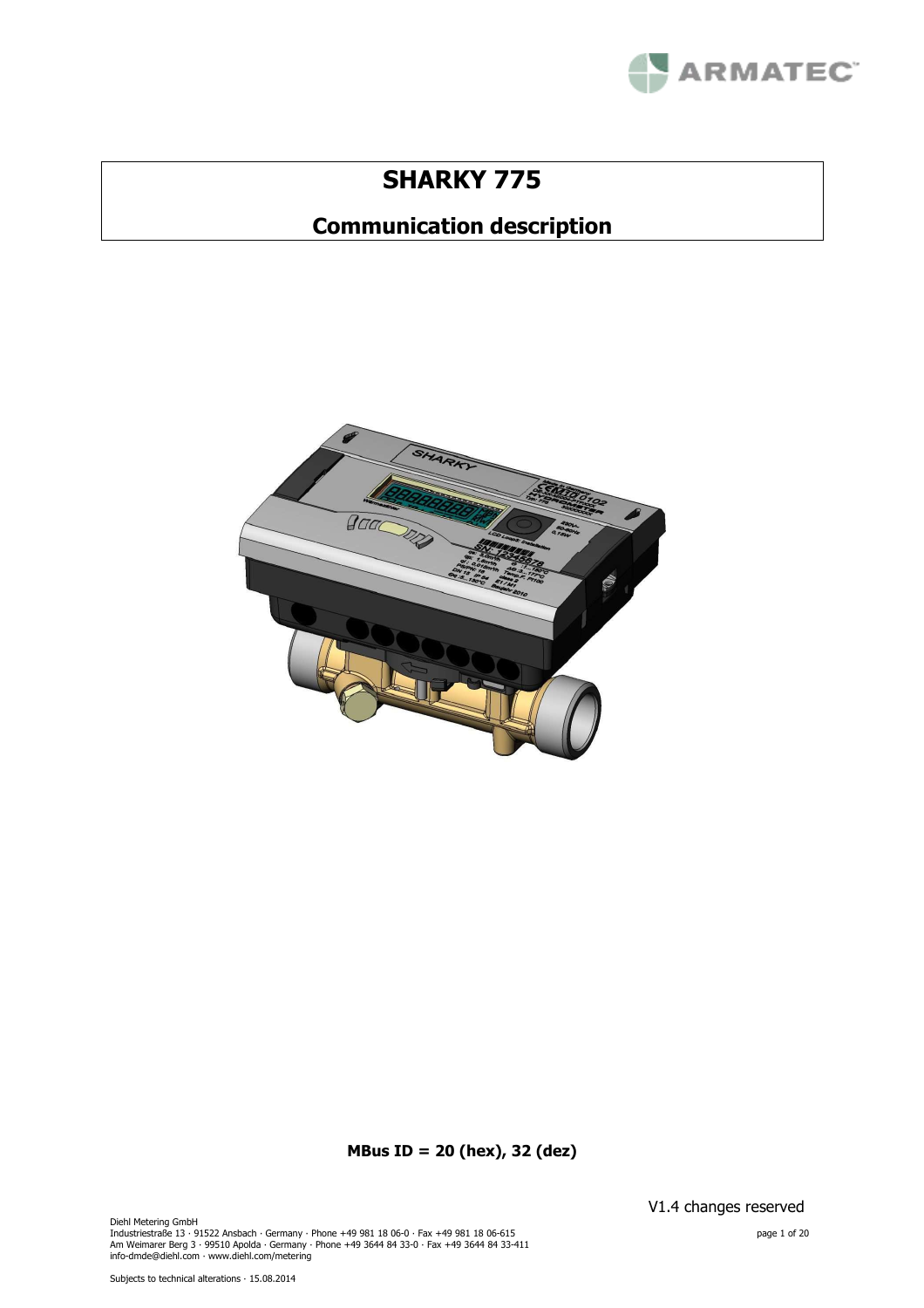

# **SHARKY 775**

# **Communication description**



**MBus ID = 20 (hex), 32 (dez)**

Diehl Metering GmbH Industriestraße 13 · 91522 Ansbach · Germany · Phone +49 981 18 06-0 · Fax +49 981 18 06-615<br>Am Weimarer Berg 3 · 99510 Apolda · Germany · Phone +49 3644 84 33-0 · Fax +49 3644 84 33-411<br>info-dmde@diehl.com · www.diehl.com V1.4 changes reserved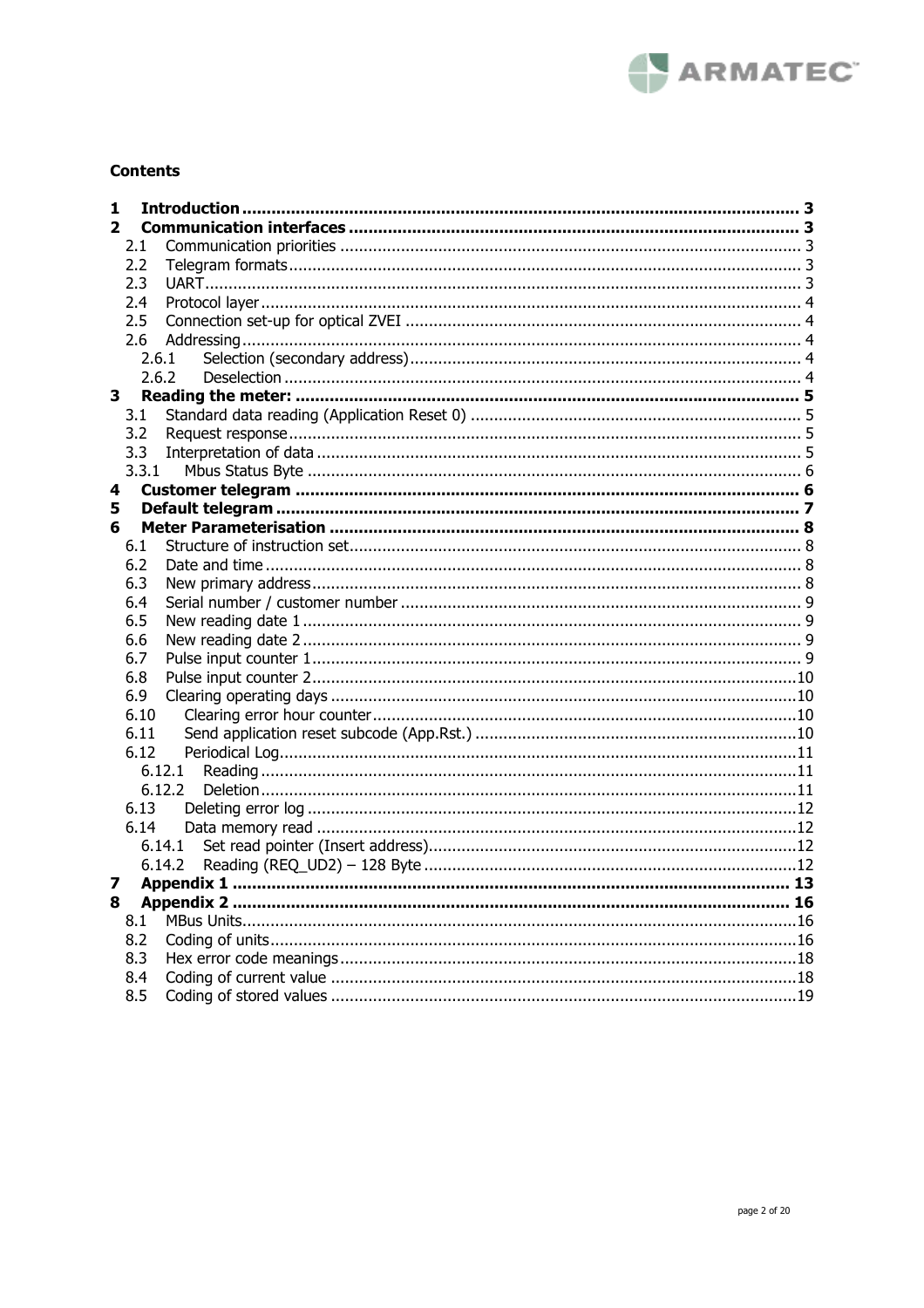

# **Contents**

| 1            |       |        |  |
|--------------|-------|--------|--|
| $\mathbf{2}$ |       |        |  |
|              | 2.1   |        |  |
|              | 2.2   |        |  |
|              | 2.3   |        |  |
|              | 2.4   |        |  |
|              | 2.5   |        |  |
|              | 2.6   |        |  |
|              | 2.6.1 |        |  |
|              | 2.6.2 |        |  |
| 3.           |       |        |  |
|              | 3.1   |        |  |
|              | 3.2   |        |  |
|              | 3.3   |        |  |
|              | 3.3.1 |        |  |
| 4            |       |        |  |
| 5            |       |        |  |
| 6            |       |        |  |
|              | 6.1   |        |  |
|              | 6.2   |        |  |
|              | 6.3   |        |  |
|              | 6.4   |        |  |
|              | 6.5   |        |  |
|              | 6.6   |        |  |
|              | 6.7   |        |  |
|              | 6.8   |        |  |
|              | 6.9   |        |  |
|              | 6.10  |        |  |
|              | 6.11  |        |  |
|              | 6.12  |        |  |
|              |       | 6.12.1 |  |
|              |       | 6.12.2 |  |
|              | 6.13  |        |  |
|              | 6.14  |        |  |
|              |       | 6.14.1 |  |
|              |       | 6.14.2 |  |
| 7            |       |        |  |
| 8            |       |        |  |
|              | 8.1   |        |  |
|              | 8.2   |        |  |
|              | 8.3   |        |  |
|              | 8.4   |        |  |
|              | 8.5   |        |  |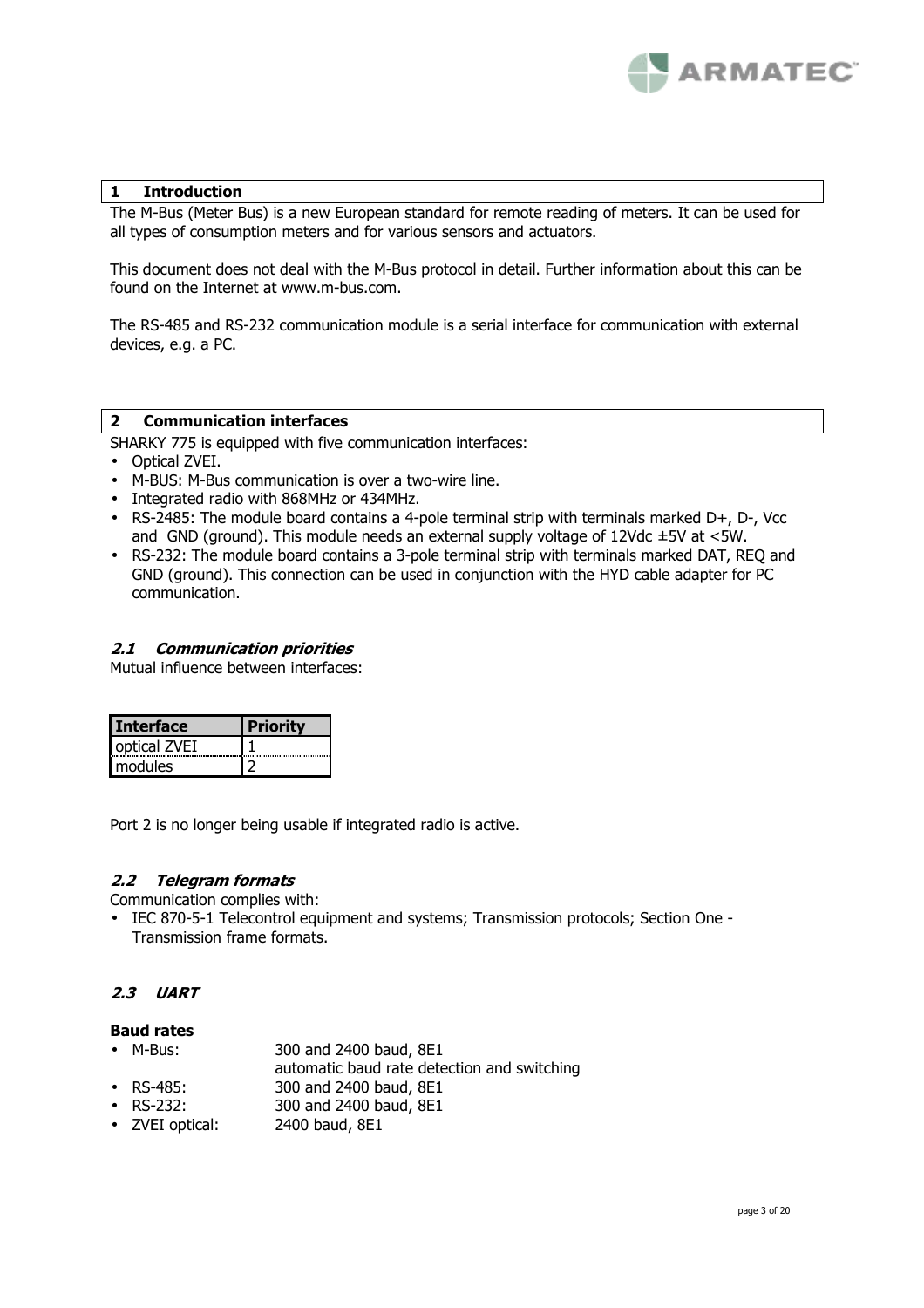

# **1 Introduction**

The M-Bus (Meter Bus) is a new European standard for remote reading of meters. It can be used for all types of consumption meters and for various sensors and actuators.

This document does not deal with the M-Bus protocol in detail. Further information about this can be found on the Internet at www.m-bus.com.

The RS-485 and RS-232 communication module is a serial interface for communication with external devices, e.g. a PC.

#### **2 Communication interfaces**

SHARKY 775 is equipped with five communication interfaces:

- Optical ZVEI.
- M-BUS: M-Bus communication is over a two-wire line.
- Integrated radio with 868MHz or 434MHz.
- RS-2485: The module board contains a 4-pole terminal strip with terminals marked D+, D-, Vcc and GND (ground). This module needs an external supply voltage of  $12Vdc \pm 5V$  at  $\lt 5W$ .
- RS-232: The module board contains a 3-pole terminal strip with terminals marked DAT, REQ and GND (ground). This connection can be used in conjunction with the HYD cable adapter for PC communication.

#### **2.1 Communication priorities**

Mutual influence between interfaces:

| <b>Interface</b> |  |
|------------------|--|
| optical ZVEI     |  |
| modules          |  |

Port 2 is no longer being usable if integrated radio is active.

# **2.2 Telegram formats**

Communication complies with:

• IEC 870-5-1 Telecontrol equipment and systems; Transmission protocols; Section One - Transmission frame formats.

# **2.3 UART**

# **Baud rates**

- M-Bus: 300 and 2400 baud, 8E1
- automatic baud rate detection and switching
- RS-485: 300 and 2400 baud, 8E1
- RS-232: 300 and 2400 baud, 8E1
- ZVEI optical: 2400 baud, 8E1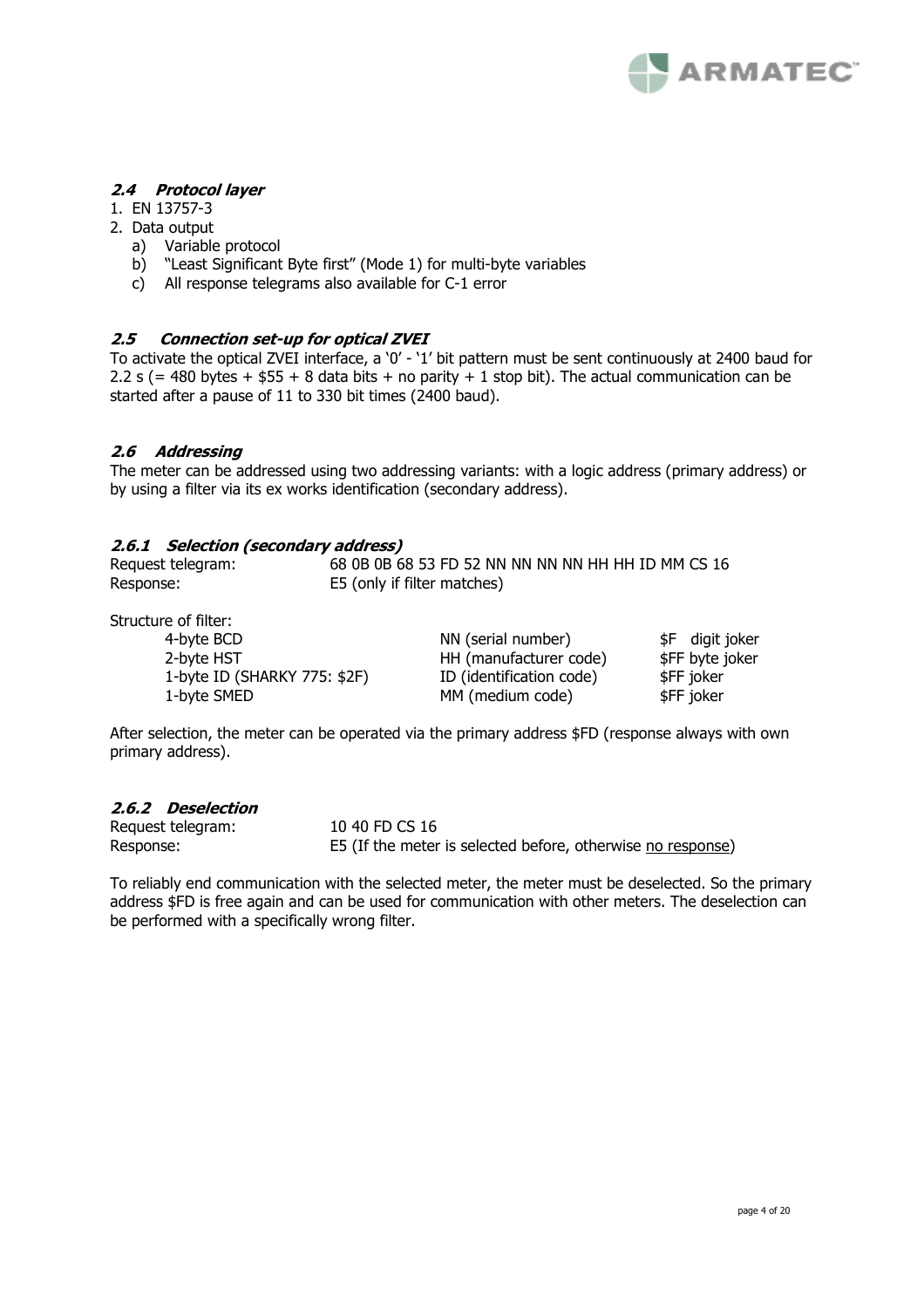

# **2.4 Protocol layer**

- 1. EN 13757-3
- 2. Data output
	- a) Variable protocol
	- b) "Least Significant Byte first" (Mode 1) for multi-byte variables
	- c) All response telegrams also available for C-1 error

# **2.5 Connection set-up for optical ZVEI**

To activate the optical ZVEI interface, a '0' - '1' bit pattern must be sent continuously at 2400 baud for 2.2 s (= 480 bytes +  $$55 + 8$  data bits + no parity + 1 stop bit). The actual communication can be started after a pause of 11 to 330 bit times (2400 baud).

# **2.6 Addressing**

The meter can be addressed using two addressing variants: with a logic address (primary address) or by using a filter via its ex works identification (secondary address).

# **2.6.1 Selection (secondary address)**

| Request telegram: | 68 0B 0B 68 53 FD 52 NN NN NN NN HH HH ID MM CS 16 |
|-------------------|----------------------------------------------------|
| Response:         | E5 (only if filter matches)                        |

Structure of filter:

| 4-byte BCD                   | NN (serial number)       | \$F digit joker |
|------------------------------|--------------------------|-----------------|
| 2-byte HST                   | HH (manufacturer code)   | \$FF byte joker |
| 1-byte ID (SHARKY 775: \$2F) | ID (identification code) | \$FF joker      |
| 1-byte SMED                  | MM (medium code)         | \$FF joker      |

After selection, the meter can be operated via the primary address \$FD (response always with own primary address).

# **2.6.2 Deselection**

| Request telegram: | 10 40 FD CS 16                                              |
|-------------------|-------------------------------------------------------------|
| Response:         | E5 (If the meter is selected before, otherwise no response) |

To reliably end communication with the selected meter, the meter must be deselected. So the primary address \$FD is free again and can be used for communication with other meters. The deselection can be performed with a specifically wrong filter.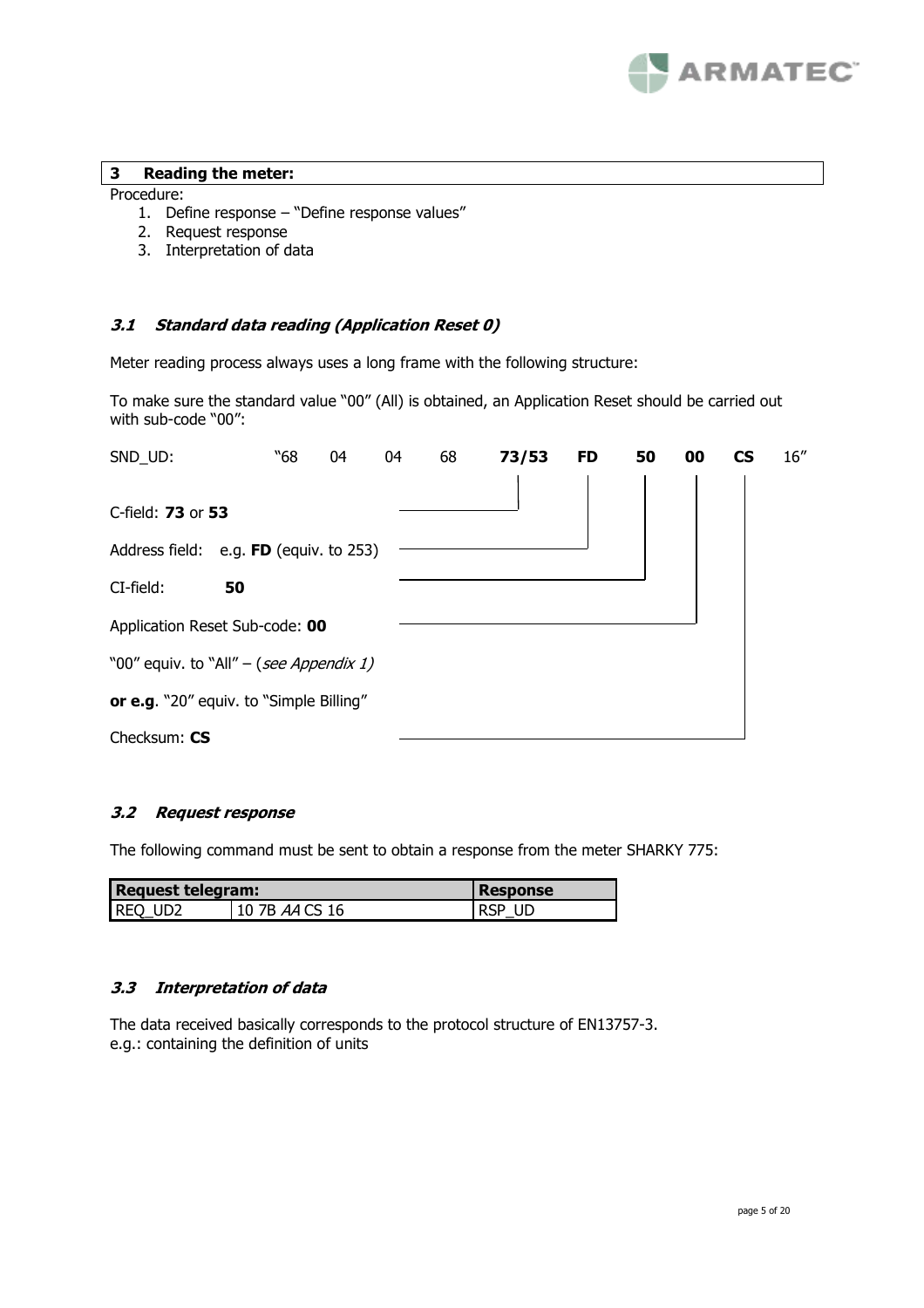

#### **3 Reading the meter:**

#### Procedure:

- 1. Define response "Define response values"
- 2. Request response
- 3. Interpretation of data

# **3.1 Standard data reading (Application Reset 0)**

Meter reading process always uses a long frame with the following structure:

To make sure the standard value "00" (All) is obtained, an Application Reset should be carried out with sub-code "00":

| SND_UD:                                 | "68 | 04 | 04 | 68 | 73/53 | <b>FD</b> | 50 | 00 | CS | 16'' |
|-----------------------------------------|-----|----|----|----|-------|-----------|----|----|----|------|
|                                         |     |    |    |    |       |           |    |    |    |      |
| C-field: 73 or 53                       |     |    |    |    |       |           |    |    |    |      |
| Address field: e.g. FD (equiv. to 253)  |     |    |    |    |       |           |    |    |    |      |
| CI-field:<br>50                         |     |    |    |    |       |           |    |    |    |      |
| Application Reset Sub-code: 00          |     |    |    |    |       |           |    |    |    |      |
| "00" equiv. to "All" – (see Appendix 1) |     |    |    |    |       |           |    |    |    |      |
| or e.g. "20" equiv. to "Simple Billing" |     |    |    |    |       |           |    |    |    |      |
| Checksum: CS                            |     |    |    |    |       |           |    |    |    |      |

# **3.2 Request response**

The following command must be sent to obtain a response from the meter SHARKY 775:

| <b>Request telegram:</b> |                | <b>Response</b> |
|--------------------------|----------------|-----------------|
| Req ud2                  | 10 7B AA CS 16 | RSP UD          |

#### **3.3 Interpretation of data**

The data received basically corresponds to the protocol structure of EN13757-3. e.g.: containing the definition of units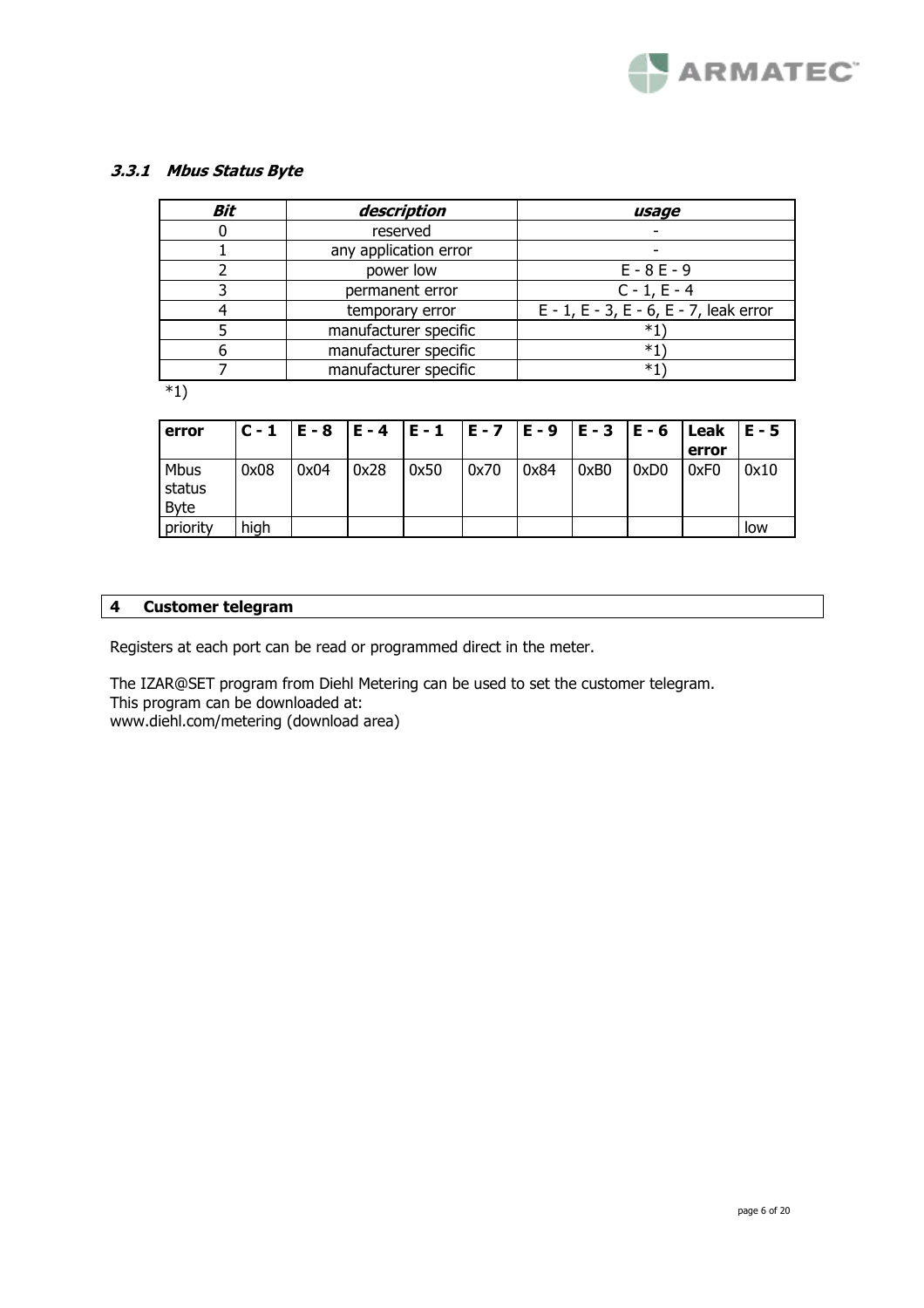

# **3.3.1 Mbus Status Byte**

| Bit | description           | usage                                  |
|-----|-----------------------|----------------------------------------|
|     | reserved              |                                        |
|     | any application error |                                        |
|     | power low             | $E - 8E - 9$                           |
|     | permanent error       | $C - 1, E - 4$                         |
|     | temporary error       | E - 1, E - 3, E - 6, E - 7, leak error |
|     | manufacturer specific | *1                                     |
|     | manufacturer specific | $*1$                                   |
|     | manufacturer specific | *1`                                    |
| $*$ |                       |                                        |

\*1)

| error                  |      |      |      | C-1  E-8  E-4  E-1  E-7  E-9  E-3  E-6  Leak |      |      |      |      |       | $E - 5$ |
|------------------------|------|------|------|----------------------------------------------|------|------|------|------|-------|---------|
|                        |      |      |      |                                              |      |      |      |      | error |         |
| Mbus<br>status<br>Byte | 0x08 | 0x04 | 0x28 | 0x50                                         | 0x70 | 0x84 | 0xB0 | 0xD0 | 0xF0  | 0x10    |
| priority               | high |      |      |                                              |      |      |      |      |       | low     |

# **4 Customer telegram**

Registers at each port can be read or programmed direct in the meter.

The IZAR@SET program from Diehl Metering can be used to set the customer telegram. This program can be downloaded at:

www.diehl.com/metering (download area)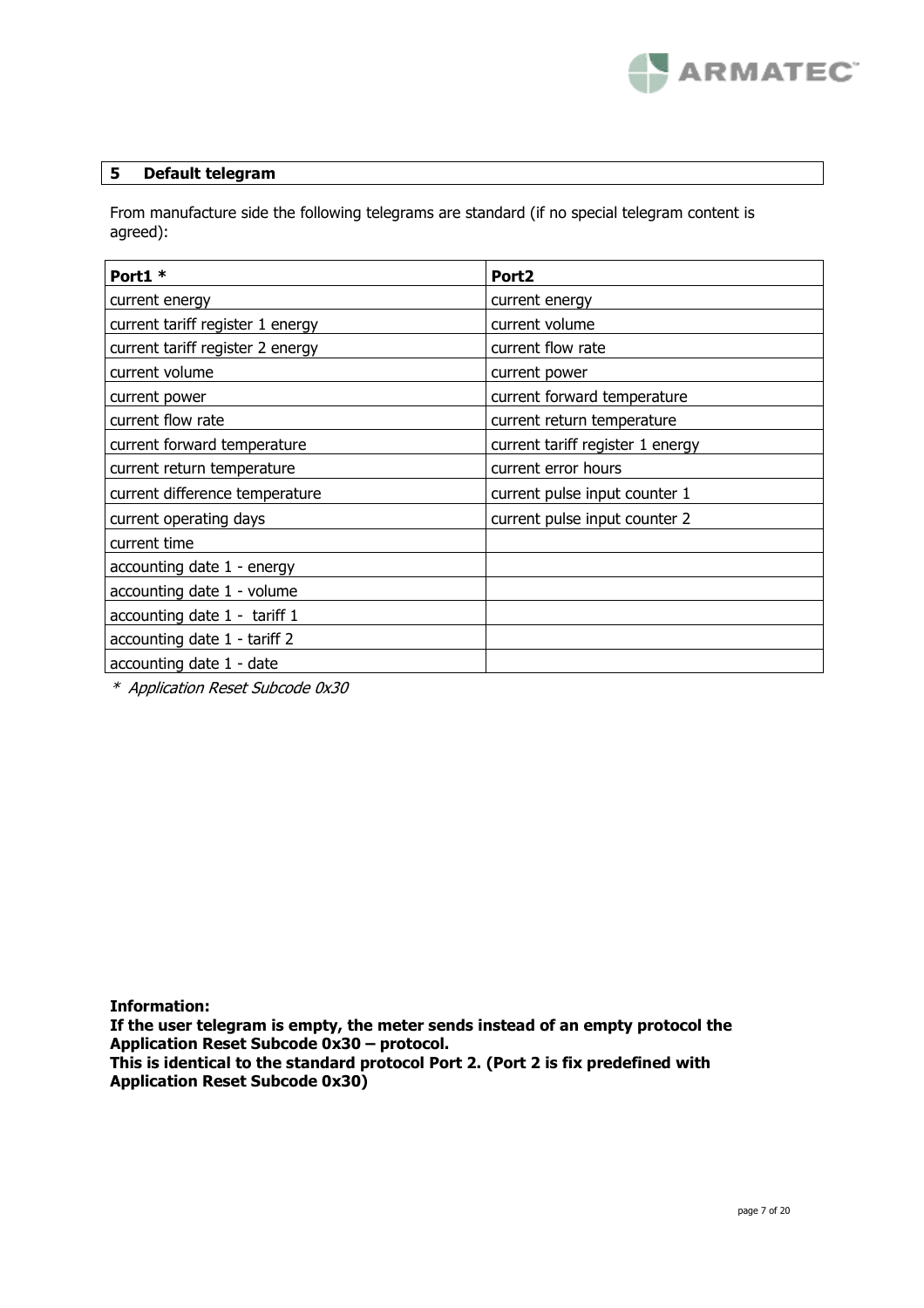

# **5 Default telegram**

From manufacture side the following telegrams are standard (if no special telegram content is agreed):

| Port1 *                          | Port <sub>2</sub>                |
|----------------------------------|----------------------------------|
| current energy                   | current energy                   |
| current tariff register 1 energy | current volume                   |
| current tariff register 2 energy | current flow rate                |
| current volume                   | current power                    |
| current power                    | current forward temperature      |
| current flow rate                | current return temperature       |
| current forward temperature      | current tariff register 1 energy |
| current return temperature       | current error hours              |
| current difference temperature   | current pulse input counter 1    |
| current operating days           | current pulse input counter 2    |
| current time                     |                                  |
| accounting date 1 - energy       |                                  |
| accounting date 1 - volume       |                                  |
| accounting date 1 - tariff 1     |                                  |
| accounting date 1 - tariff 2     |                                  |
| accounting date 1 - date         |                                  |

\* Application Reset Subcode 0x30

**Information:** 

**If the user telegram is empty, the meter sends instead of an empty protocol the Application Reset Subcode 0x30 – protocol.** 

**This is identical to the standard protocol Port 2. (Port 2 is fix predefined with Application Reset Subcode 0x30)**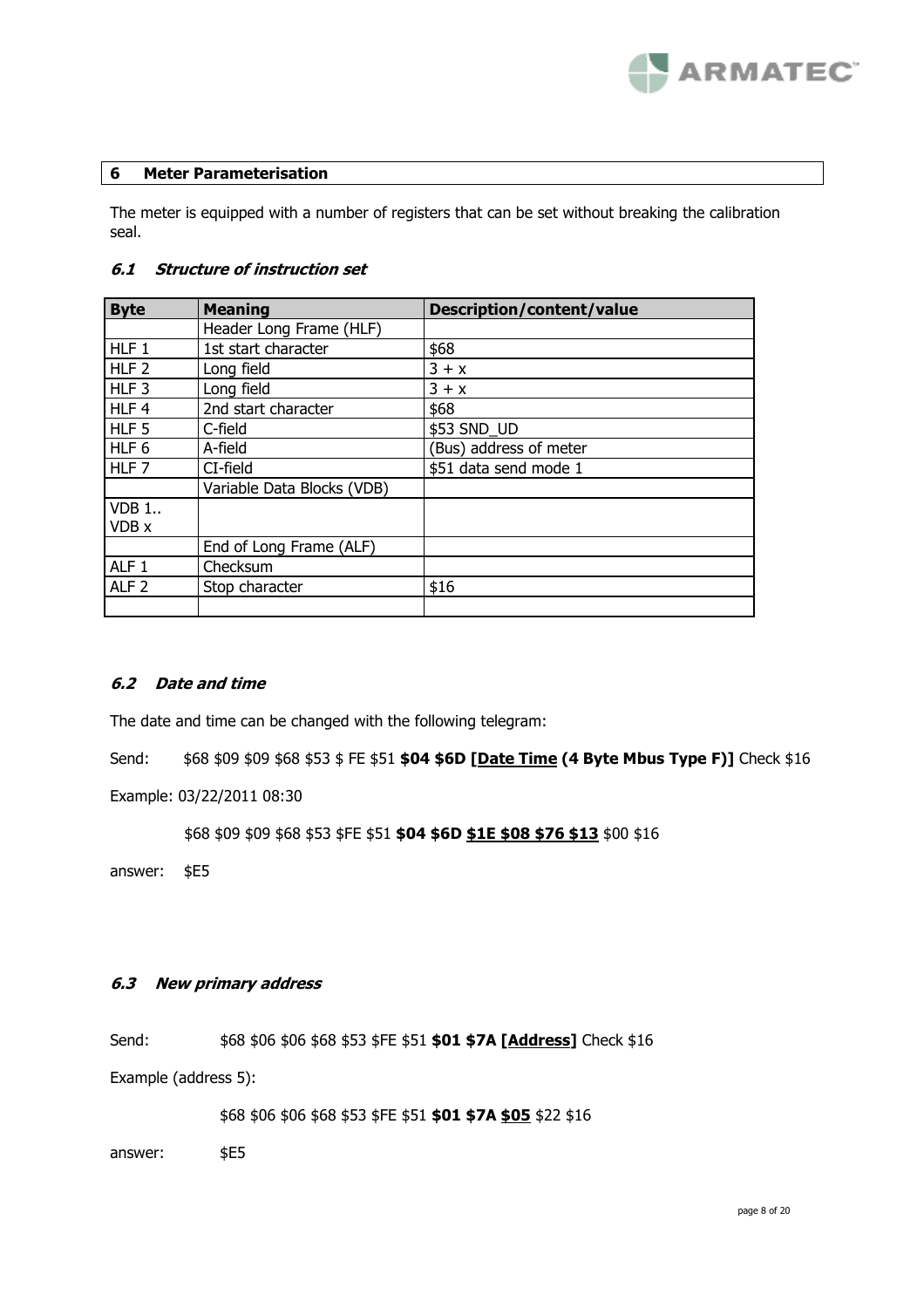

#### **6 Meter Parameterisation**

The meter is equipped with a number of registers that can be set without breaking the calibration seal.

# **6.1 Structure of instruction set**

| <b>Byte</b>      | <b>Meaning</b>             | Description/content/value |
|------------------|----------------------------|---------------------------|
|                  | Header Long Frame (HLF)    |                           |
| HLF <sub>1</sub> | 1st start character        | \$68                      |
| HLF <sub>2</sub> | Long field                 | $3 + x$                   |
| HLF <sub>3</sub> | Long field                 | $3 + x$                   |
| HLF 4            | 2nd start character        | \$68                      |
| HLF <sub>5</sub> | C-field                    | \$53 SND_UD               |
| HLF <sub>6</sub> | A-field                    | (Bus) address of meter    |
| HLF <sub>7</sub> | CI-field                   | \$51 data send mode 1     |
|                  | Variable Data Blocks (VDB) |                           |
| <b>VDB 1</b>     |                            |                           |
| VDB x            |                            |                           |
|                  | End of Long Frame (ALF)    |                           |
| ALF <sub>1</sub> | Checksum                   |                           |
| ALF <sub>2</sub> | Stop character             | \$16                      |
|                  |                            |                           |

# **6.2 Date and time**

The date and time can be changed with the following telegram:

Send: \$68 \$09 \$09 \$68 \$53 \$ FE \$51 **\$04 \$6D [Date Time (4 Byte Mbus Type F)]** Check \$16

Example: 03/22/2011 08:30

\$68 \$09 \$09 \$68 \$53 \$FE \$51 **\$04 \$6D \$1E \$08 \$76 \$13** \$00 \$16

answer: \$E5

# **6.3 New primary address**

Send: \$68 \$06 \$06 \$68 \$53 \$FE \$51 **\$01 \$7A [Address]** Check \$16

Example (address 5):

\$68 \$06 \$06 \$68 \$53 \$FE \$51 **\$01 \$7A \$05** \$22 \$16

answer: \$E5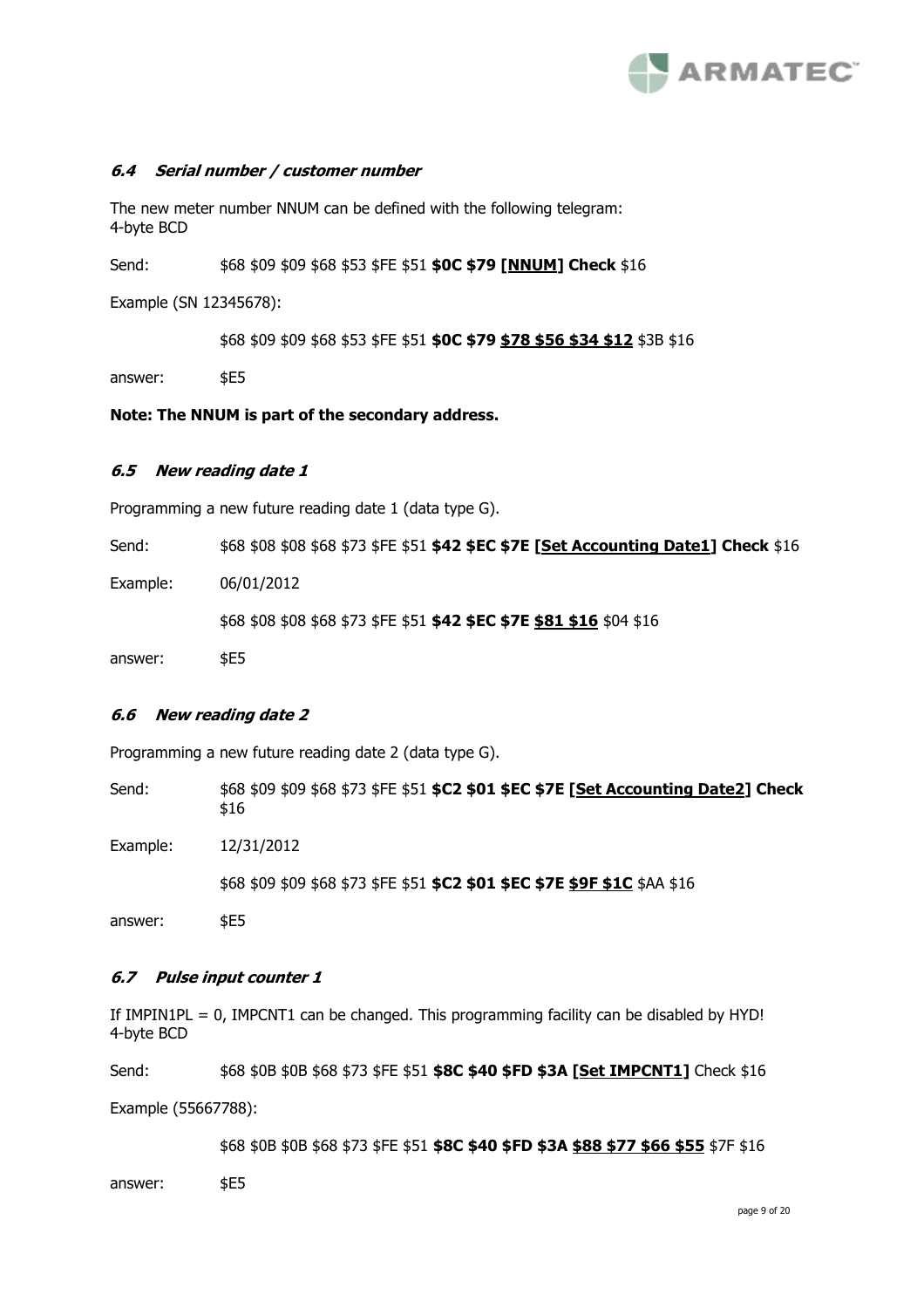

#### **6.4 Serial number / customer number**

The new meter number NNUM can be defined with the following telegram: 4-byte BCD

Send: \$68 \$09 \$09 \$68 \$53 \$FE \$51 **\$0C \$79 [NNUM] Check** \$16

Example (SN 12345678):

\$68 \$09 \$09 \$68 \$53 \$FE \$51 **\$0C \$79 \$78 \$56 \$34 \$12** \$3B \$16

answer: \$E5

**Note: The NNUM is part of the secondary address.** 

#### **6.5 New reading date 1**

Programming a new future reading date 1 (data type G).

| Send:    | \$68 \$08 \$08 \$68 \$73 \$FE \$51 <b>\$42 \$EC \$7E [Set Accounting Date1] Check</b> \$16 |
|----------|--------------------------------------------------------------------------------------------|
| Example: | 06/01/2012                                                                                 |
|          | \$68 \$08 \$08 \$68 \$73 \$FE \$51 <b>\$42 \$EC \$7E \$81 \$16</b> \$04 \$16               |
| answer:  | <b>SE5</b>                                                                                 |

#### **6.6 New reading date 2**

Programming a new future reading date 2 (data type G).

Send: \$68 \$09 \$09 \$68 \$73 \$FE \$51 **\$C2 \$01 \$EC \$7E [Set Accounting Date2] Check** \$16

Example: 12/31/2012

\$68 \$09 \$09 \$68 \$73 \$FE \$51 **\$C2 \$01 \$EC \$7E \$9F \$1C** \$AA \$16

answer: \$E5

#### **6.7 Pulse input counter 1**

If  $IMPIN1PL = 0$ ,  $IMPORT1$  can be changed. This programming facility can be disabled by  $HYD!$ 4-byte BCD

Send: \$68 \$0B \$0B \$68 \$73 \$FE \$51 **\$8C \$40 \$FD \$3A [Set IMPCNT1]** Check \$16

Example (55667788):

\$68 \$0B \$0B \$68 \$73 \$FE \$51 **\$8C \$40 \$FD \$3A \$88 \$77 \$66 \$55** \$7F \$16

answer: \$E5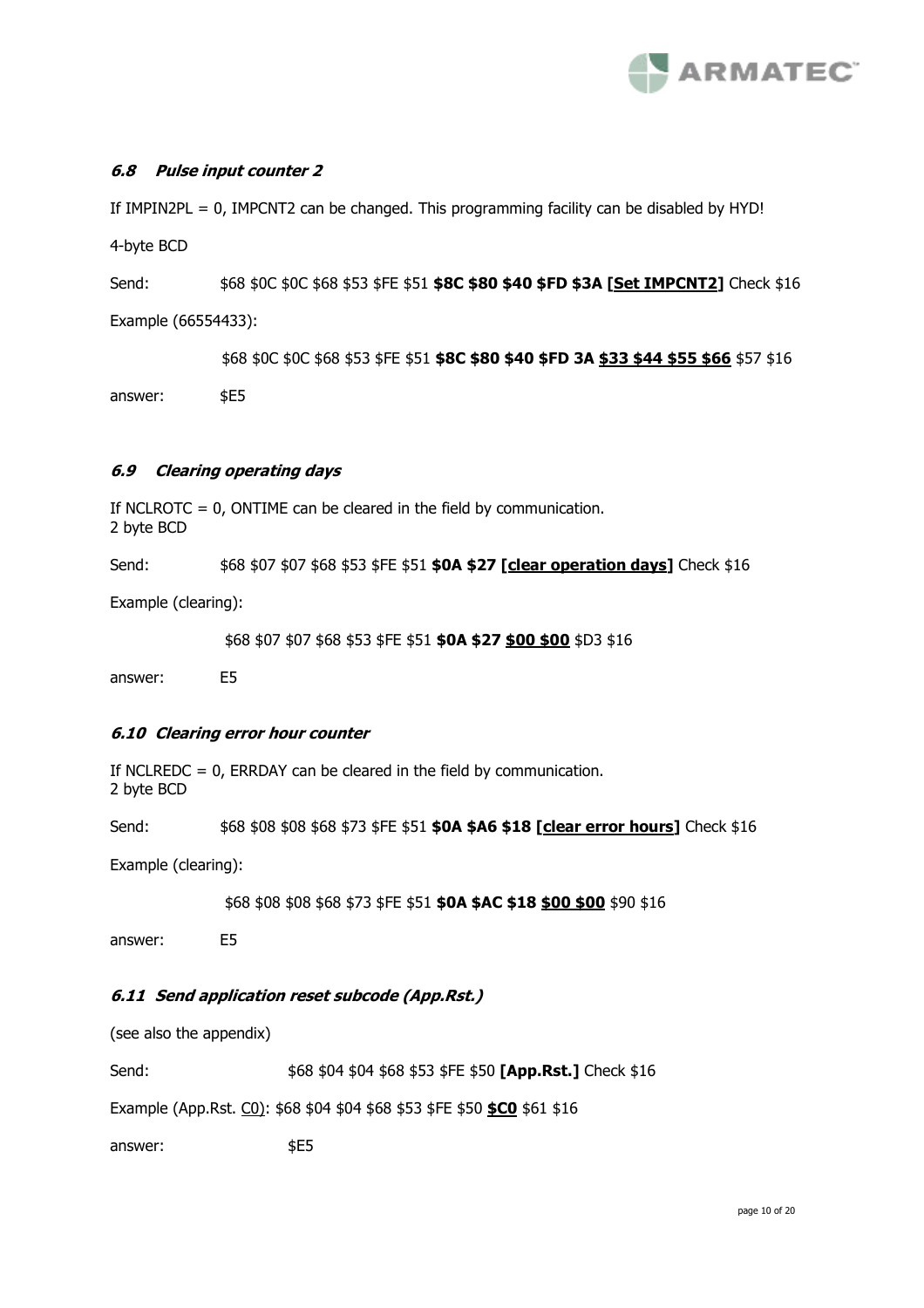

# **6.8 Pulse input counter 2**

If  $IMPIN2PL = 0$ ,  $IMPORT2$  can be changed. This programming facility can be disabled by  $HYD!$ 

4-byte BCD

Send:  $$68$ 50C$ 50C$ 568$ 553$ 5FE$ 551$$ **\$8C \$80 \$40 \$FD \$3A [Set IMPCNT2]** Check \$16 Example (66554433):

\$68 \$0C \$0C \$68 \$53 \$FE \$51 **\$8C \$80 \$40 \$FD 3A \$33 \$44 \$55 \$66** \$57 \$16

answer: \$E5

# **6.9 Clearing operating days**

If NCLROTC = 0, ONTIME can be cleared in the field by communication. 2 byte BCD

Send: \$68 \$07 \$07 \$68 \$53 \$FE \$51 **\$0A \$27 [clear operation days]** Check \$16

Example (clearing):

\$68 \$07 \$07 \$68 \$53 \$FE \$51 **\$0A \$27 \$00 \$00** \$D3 \$16

answer: E5

# **6.10 Clearing error hour counter**

If NCLREDC = 0, ERRDAY can be cleared in the field by communication. 2 byte BCD

Send: \$68 \$08 \$08 \$68 \$73 \$FE \$51 **\$0A \$A6 \$18 [clear error hours]** Check \$16

Example (clearing):

\$68 \$08 \$08 \$68 \$73 \$FE \$51 **\$0A \$AC \$18 \$00 \$00** \$90 \$16

answer: E5

# **6.11 Send application reset subcode (App.Rst.)**

(see also the appendix)

Send: \$68 \$04 \$04 \$68 \$53 \$FE \$50 **[App.Rst.]** Check \$16

Example (App.Rst. C0): \$68 \$04 \$04 \$68 \$53 \$FE \$50 **\$C0** \$61 \$16

answer:  $$E5$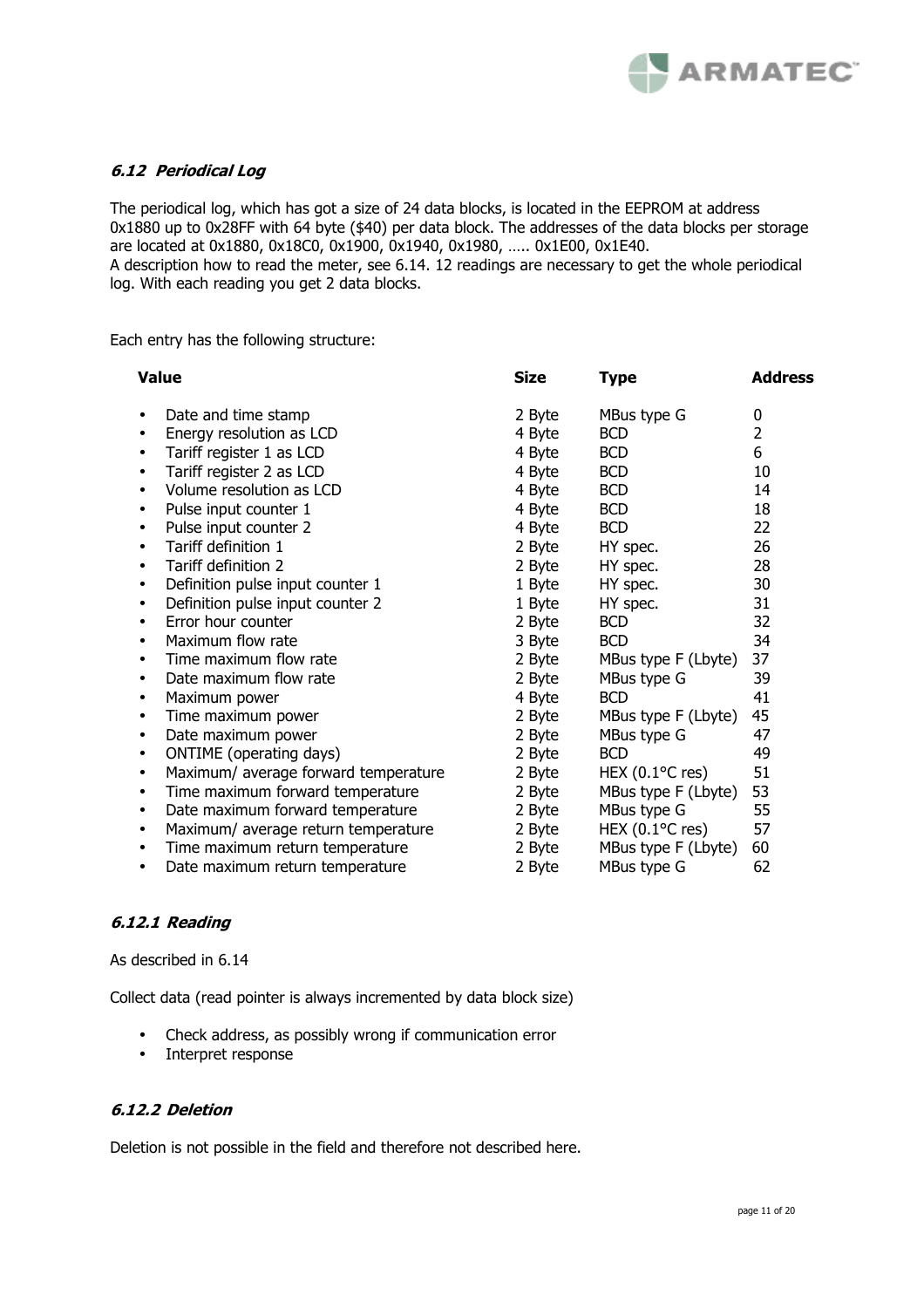

# **6.12 Periodical Log**

The periodical log, which has got a size of 24 data blocks, is located in the EEPROM at address 0x1880 up to 0x28FF with 64 byte (\$40) per data block. The addresses of the data blocks per storage are located at 0x1880, 0x18C0, 0x1900, 0x1940, 0x1980, ….. 0x1E00, 0x1E40.

A description how to read the meter, see 6.14. 12 readings are necessary to get the whole periodical log. With each reading you get 2 data blocks.

Each entry has the following structure:

| <b>Value</b>                                      | <b>Size</b> | <b>Type</b>                    | <b>Address</b> |
|---------------------------------------------------|-------------|--------------------------------|----------------|
| Date and time stamp<br>٠                          | 2 Byte      | MBus type G                    | 0              |
| Energy resolution as LCD<br>$\bullet$             | 4 Byte      | <b>BCD</b>                     | $\overline{2}$ |
| Tariff register 1 as LCD                          | 4 Byte      | <b>BCD</b>                     | 6              |
| Tariff register 2 as LCD<br>$\bullet$             | 4 Byte      | <b>BCD</b>                     | 10             |
| Volume resolution as LCD<br>$\bullet$             | 4 Byte      | <b>BCD</b>                     | 14             |
| Pulse input counter 1                             | 4 Byte      | <b>BCD</b>                     | 18             |
| Pulse input counter 2                             | 4 Byte      | <b>BCD</b>                     | 22             |
| Tariff definition 1                               | 2 Byte      | HY spec.                       | 26             |
| Tariff definition 2<br>$\bullet$                  | 2 Byte      | HY spec.                       | 28             |
| Definition pulse input counter 1                  | 1 Byte      | HY spec.                       | 30             |
| Definition pulse input counter 2                  | 1 Byte      | HY spec.                       | 31             |
| Error hour counter                                | 2 Byte      | <b>BCD</b>                     | 32             |
| Maximum flow rate                                 | 3 Byte      | <b>BCD</b>                     | 34             |
| Time maximum flow rate                            | 2 Byte      | MBus type F (Lbyte)            | 37             |
| Date maximum flow rate                            | 2 Byte      | MBus type G                    | 39             |
| Maximum power<br>٠                                | 4 Byte      | <b>BCD</b>                     | 41             |
| Time maximum power                                | 2 Byte      | MBus type F (Lbyte)            | 45             |
| Date maximum power                                | 2 Byte      | MBus type G                    | 47             |
| ONTIME (operating days)                           | 2 Byte      | <b>BCD</b>                     | 49             |
| Maximum/ average forward temperature<br>$\bullet$ | 2 Byte      | HEX $(0.1$ <sup>o</sup> C res) | 51             |
| Time maximum forward temperature                  | 2 Byte      | MBus type F (Lbyte)            | 53             |
| Date maximum forward temperature<br>٠             | 2 Byte      | MBus type G                    | 55             |
| Maximum/ average return temperature<br>٠          | 2 Byte      | HEX $(0.1$ <sup>o</sup> C res) | 57             |
| Time maximum return temperature<br>٠              | 2 Byte      | MBus type F (Lbyte)            | 60             |
| Date maximum return temperature                   | 2 Byte      | MBus type G                    | 62             |

# **6.12.1 Reading**

As described in 6.14

Collect data (read pointer is always incremented by data block size)

- Check address, as possibly wrong if communication error
- Interpret response

#### **6.12.2 Deletion**

Deletion is not possible in the field and therefore not described here.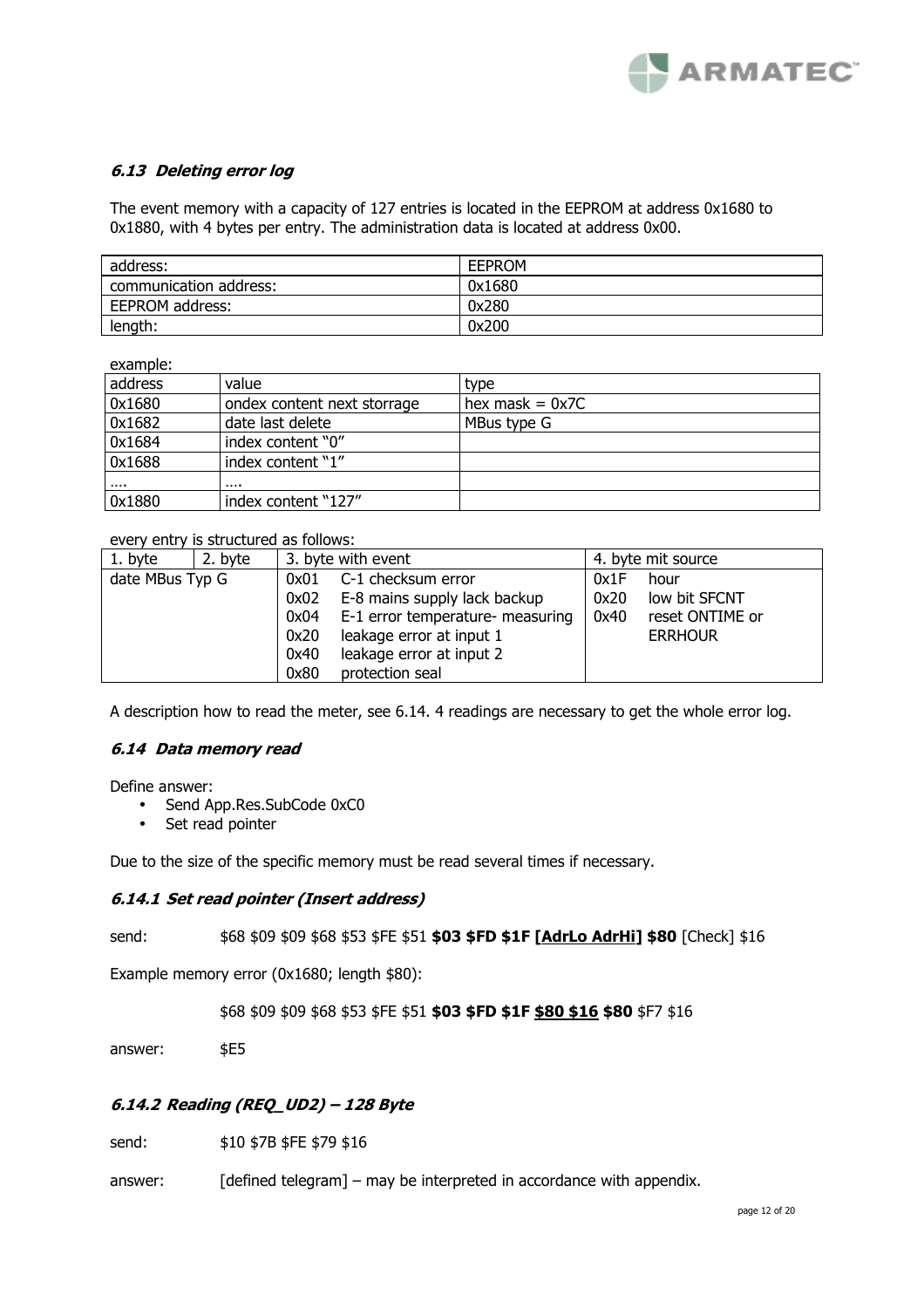

# **6.13 Deleting error log**

The event memory with a capacity of 127 entries is located in the EEPROM at address 0x1680 to 0x1880, with 4 bytes per entry. The administration data is located at address 0x00.

| address:               | <b>EFPROM</b> |
|------------------------|---------------|
| communication address: | 0x1680        |
| EEPROM address:        | 0x280         |
| length:                | 0x200         |

example<sup>.</sup>

| ----------        |                             |                   |
|-------------------|-----------------------------|-------------------|
| address           | value                       | type              |
| 0x1680            | ondex content next storrage | hex mask $= 0x7C$ |
| 0x1682            | date last delete            | MBus type G       |
| 0x1684            | index content "0"           |                   |
| 0x1688            | index content "1"           |                   |
| $\sim$ and $\sim$ |                             |                   |
| 0x1880            | index content "127"         |                   |

every entry is structured as follows:

| 1. byte         | 2. byte |      | 3. byte with event               |      | 4. byte mit source |
|-----------------|---------|------|----------------------------------|------|--------------------|
| date MBus Typ G |         | 0x01 | C-1 checksum error               | 0x1F | hour               |
|                 |         | 0x02 | E-8 mains supply lack backup     | 0x20 | low bit SFCNT      |
|                 | 0x04    |      | E-1 error temperature- measuring | 0x40 | reset ONTIME or    |
|                 |         | 0x20 | leakage error at input 1         |      | <b>ERRHOUR</b>     |
|                 |         | 0x40 | leakage error at input 2         |      |                    |
|                 |         | 0x80 | protection seal                  |      |                    |

A description how to read the meter, see 6.14. 4 readings are necessary to get the whole error log.

# **6.14 Data memory read**

Define answer:

- Send App.Res.SubCode 0xC0
- Set read pointer

Due to the size of the specific memory must be read several times if necessary.

#### **6.14.1 Set read pointer (Insert address)**

send: \$68 \$09 \$09 \$68 \$53 \$FE \$51 **\$03 \$FD \$1F [AdrLo AdrHi] \$80** [Check] \$16

Example memory error (0x1680; length \$80):

\$68 \$09 \$09 \$68 \$53 \$FE \$51 **\$03 \$FD \$1F \$80 \$16 \$80** \$F7 \$16

answer: \$E5

# **6.14.2 Reading (REQ\_UD2) – 128 Byte**

send:  $$10 $7B $FE $79 $16$ 

answer: [defined telegram] – may be interpreted in accordance with appendix.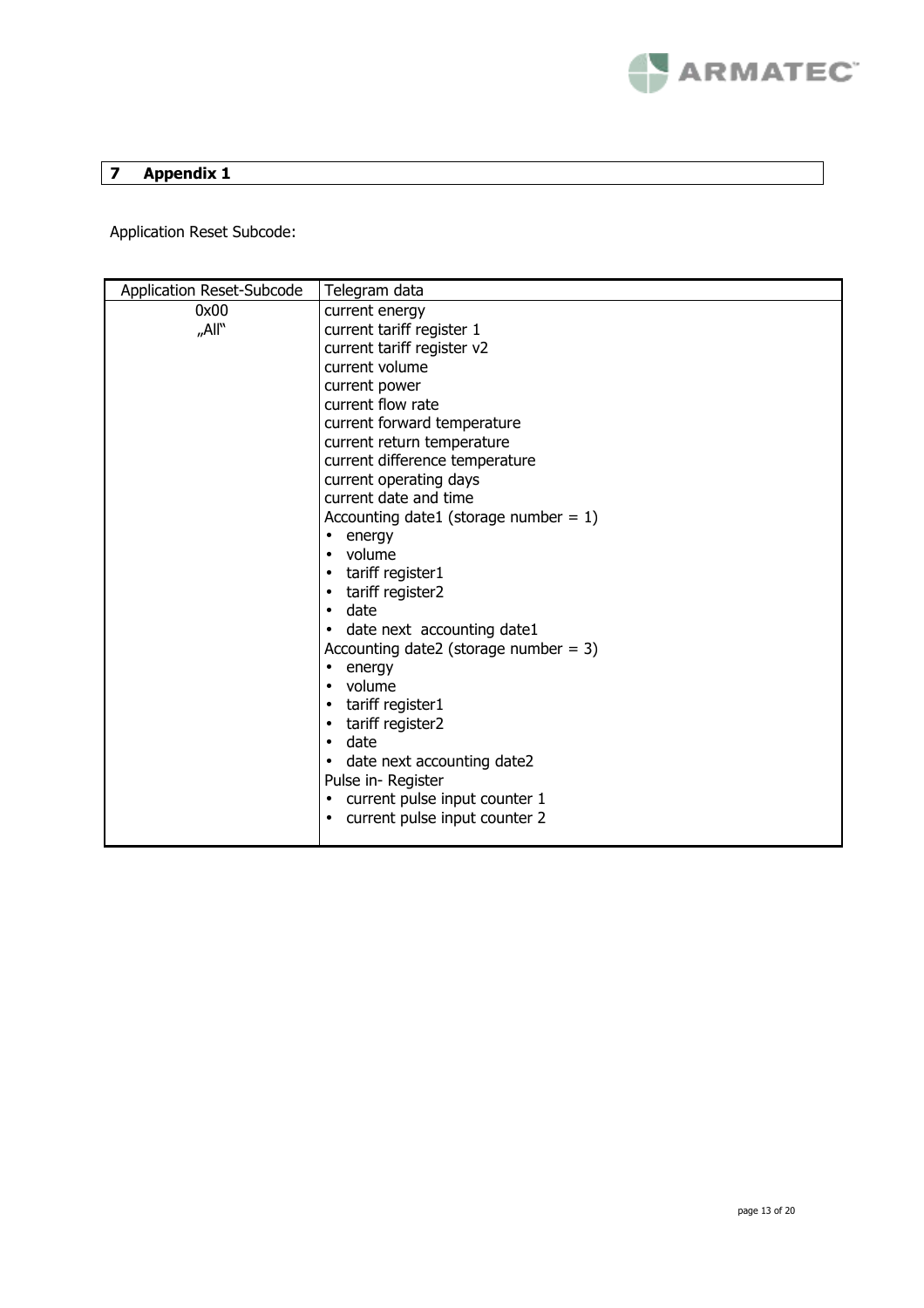

# **7 Appendix 1**

Application Reset Subcode:

| Application Reset-Subcode | Telegram data                                      |
|---------------------------|----------------------------------------------------|
| 0x00                      | current energy                                     |
| "All"                     | current tariff register 1                          |
|                           | current tariff register v2                         |
|                           | current volume                                     |
|                           | current power                                      |
|                           | current flow rate                                  |
|                           | current forward temperature                        |
|                           | current return temperature                         |
|                           | current difference temperature                     |
|                           | current operating days                             |
|                           | current date and time                              |
|                           | Accounting date1 (storage number = $1$ )           |
|                           | energy<br>$\bullet$                                |
|                           | volume<br>$\bullet$                                |
|                           | tariff register1<br>$\bullet$                      |
|                           | tariff register2<br>$\bullet$                      |
|                           | date<br>$\bullet$                                  |
|                           | date next accounting date1<br>$\bullet$            |
|                           | Accounting date2 (storage number = $3$ )           |
|                           | energy<br>$\bullet$                                |
|                           | volume<br>$\bullet$                                |
|                           | tariff register1<br>$\bullet$                      |
|                           | tariff register2<br>$\bullet$<br>date<br>$\bullet$ |
|                           | date next accounting date2                         |
|                           | Pulse in-Register                                  |
|                           | current pulse input counter 1<br>$\bullet$         |
|                           | current pulse input counter 2<br>$\bullet$         |
|                           |                                                    |
|                           |                                                    |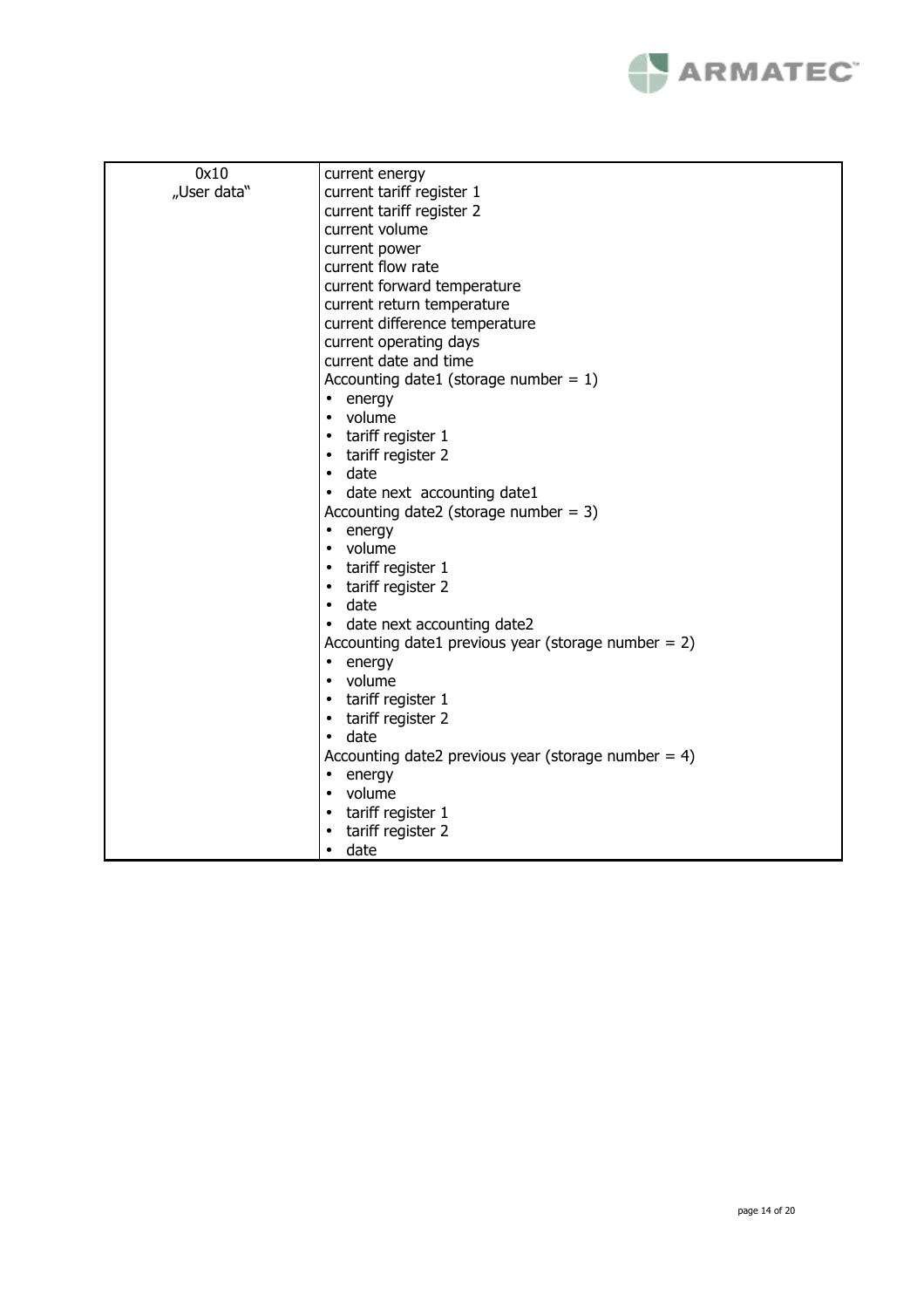

| 0x10        | current energy                                         |
|-------------|--------------------------------------------------------|
| "User data" | current tariff register 1                              |
|             | current tariff register 2                              |
|             | current volume                                         |
|             | current power                                          |
|             | current flow rate                                      |
|             | current forward temperature                            |
|             | current return temperature                             |
|             | current difference temperature                         |
|             | current operating days                                 |
|             | current date and time                                  |
|             | Accounting date1 (storage number = $1$ )               |
|             | energy<br>$\bullet$                                    |
|             | volume<br>٠                                            |
|             | tariff register 1<br>٠                                 |
|             | tariff register 2<br>٠                                 |
|             | date<br>$\bullet$                                      |
|             | date next accounting date1<br>$\bullet$                |
|             | Accounting date2 (storage number = $3$ )               |
|             | energy<br>$\bullet$                                    |
|             | volume<br>$\bullet$                                    |
|             | tariff register 1<br>٠                                 |
|             | tariff register 2<br>٠                                 |
|             | date<br>$\bullet$                                      |
|             | date next accounting date2<br>$\bullet$                |
|             | Accounting date1 previous year (storage number $= 2$ ) |
|             | energy<br>$\bullet$                                    |
|             | volume<br>$\bullet$                                    |
|             | tariff register 1<br>٠                                 |
|             | tariff register 2<br>٠                                 |
|             | date<br>$\bullet$                                      |
|             | Accounting date2 previous year (storage number = $4$ ) |
|             | energy<br>$\bullet$                                    |
|             | volume<br>$\bullet$                                    |
|             | tariff register 1<br>٠                                 |
|             | tariff register 2                                      |
|             | date<br>$\bullet$                                      |
|             |                                                        |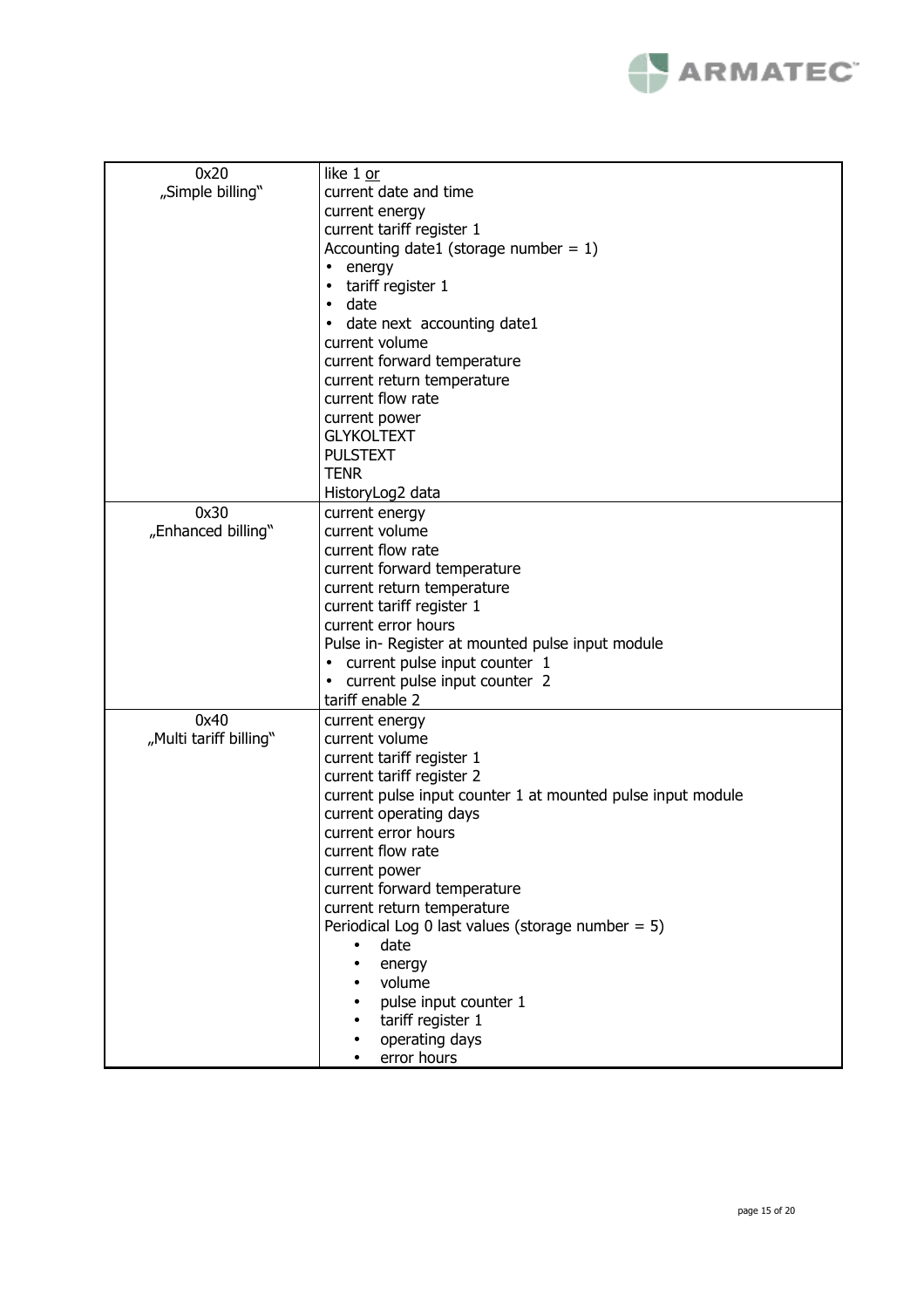

| 0x20                   | like 1 or                                                   |
|------------------------|-------------------------------------------------------------|
| "Simple billing"       | current date and time                                       |
|                        | current energy                                              |
|                        | current tariff register 1                                   |
|                        |                                                             |
|                        | Accounting date1 (storage number = $1$ )                    |
|                        | energy<br>$\bullet$                                         |
|                        | tariff register 1<br>$\bullet$                              |
|                        | date<br>$\bullet$                                           |
|                        | date next accounting date1<br>$\bullet$                     |
|                        | current volume                                              |
|                        | current forward temperature                                 |
|                        | current return temperature                                  |
|                        | current flow rate                                           |
|                        | current power                                               |
|                        | <b>GLYKOLTEXT</b>                                           |
|                        | <b>PULSTEXT</b>                                             |
|                        | <b>TENR</b>                                                 |
|                        | HistoryLog2 data                                            |
| 0x30                   | current energy                                              |
| "Enhanced billing"     | current volume                                              |
|                        | current flow rate                                           |
|                        | current forward temperature                                 |
|                        |                                                             |
|                        | current return temperature                                  |
|                        | current tariff register 1                                   |
|                        | current error hours                                         |
|                        | Pulse in- Register at mounted pulse input module            |
|                        | current pulse input counter 1<br>$\bullet$                  |
|                        | current pulse input counter 2<br>٠                          |
|                        | tariff enable 2                                             |
| 0x40                   | current energy                                              |
| "Multi tariff billing" | current volume                                              |
|                        | current tariff register 1                                   |
|                        | current tariff register 2                                   |
|                        | current pulse input counter 1 at mounted pulse input module |
|                        | current operating days                                      |
|                        | current error hours                                         |
|                        | current flow rate                                           |
|                        | current power                                               |
|                        | current forward temperature                                 |
|                        | current return temperature                                  |
|                        | Periodical Log 0 last values (storage number = $5$ )        |
|                        |                                                             |
|                        | date<br>$\bullet$                                           |
|                        | energy<br>$\bullet$                                         |
|                        | volume<br>$\bullet$                                         |
|                        | pulse input counter 1                                       |
|                        | tariff register 1                                           |
|                        | operating days<br>$\bullet$                                 |
|                        | error hours                                                 |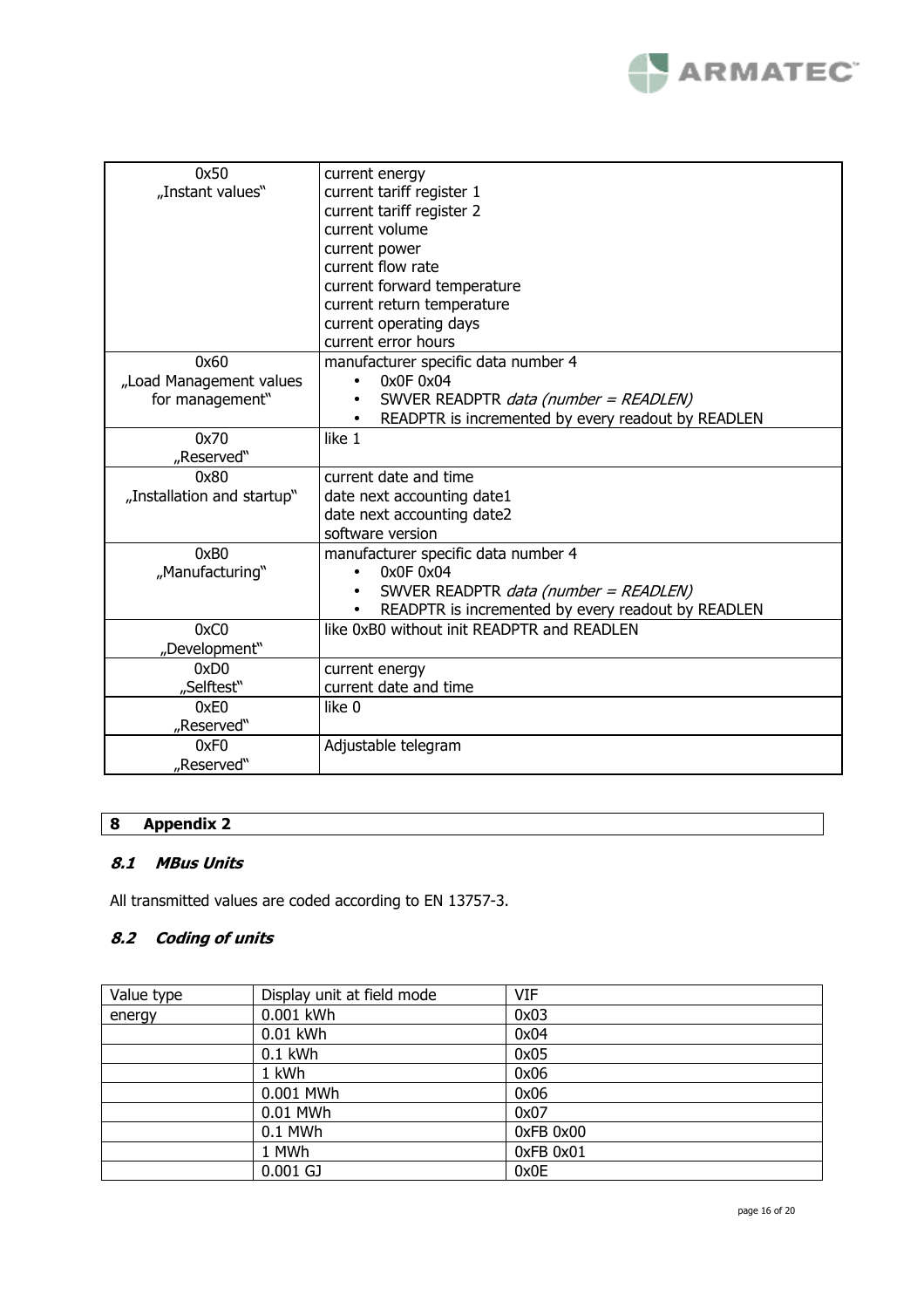

| 0x50                       | current energy                                            |
|----------------------------|-----------------------------------------------------------|
| "Instant values"           | current tariff register 1                                 |
|                            | current tariff register 2                                 |
|                            | current volume                                            |
|                            | current power                                             |
|                            | current flow rate                                         |
|                            | current forward temperature                               |
|                            | current return temperature                                |
|                            | current operating days                                    |
|                            | current error hours                                       |
| 0x60                       | manufacturer specific data number 4                       |
| "Load Management values    | 0x0F0x04                                                  |
| for management"            | SWVER READPTR <i>data (number = READLEN)</i>              |
|                            | READPTR is incremented by every readout by READLEN        |
| 0x70                       | like 1                                                    |
| "Reserved"                 |                                                           |
| 0x80                       | current date and time                                     |
| "Installation and startup" | date next accounting date1                                |
|                            | date next accounting date2                                |
|                            | software version                                          |
| 0xB0                       | manufacturer specific data number 4                       |
| "Manufacturing"            | 0x0F0x04<br>$\bullet$                                     |
|                            | SWVER READPTR <i>data (number = READLEN)</i><br>$\bullet$ |
|                            | READPTR is incremented by every readout by READLEN        |
| 0xC0                       | like 0xB0 without init READPTR and READLEN                |
| "Development"              |                                                           |
| 0xD0                       | current energy                                            |
| "Selftest"                 | current date and time                                     |
| 0xE0                       | like 0                                                    |
| "Reserved"                 |                                                           |
| 0xF <sub>0</sub>           | Adjustable telegram                                       |
| "Reserved"                 |                                                           |

# **8 Appendix 2**

# **8.1 MBus Units**

All transmitted values are coded according to EN 13757-3.

# **8.2 Coding of units**

| Value type | Display unit at field mode | <b>VIF</b> |
|------------|----------------------------|------------|
| energy     | 0.001 kWh                  | 0x03       |
|            | 0.01 kWh                   | 0x04       |
|            | $0.1$ kWh                  | 0x05       |
|            | 1 kWh                      | 0x06       |
|            | 0.001 MWh                  | 0x06       |
|            | 0.01 MWh                   | 0x07       |
|            | 0.1 MWh                    | 0xFB 0x00  |
|            | 1 MWh                      | 0xFB 0x01  |
|            | $0.001$ GJ                 | 0x0E       |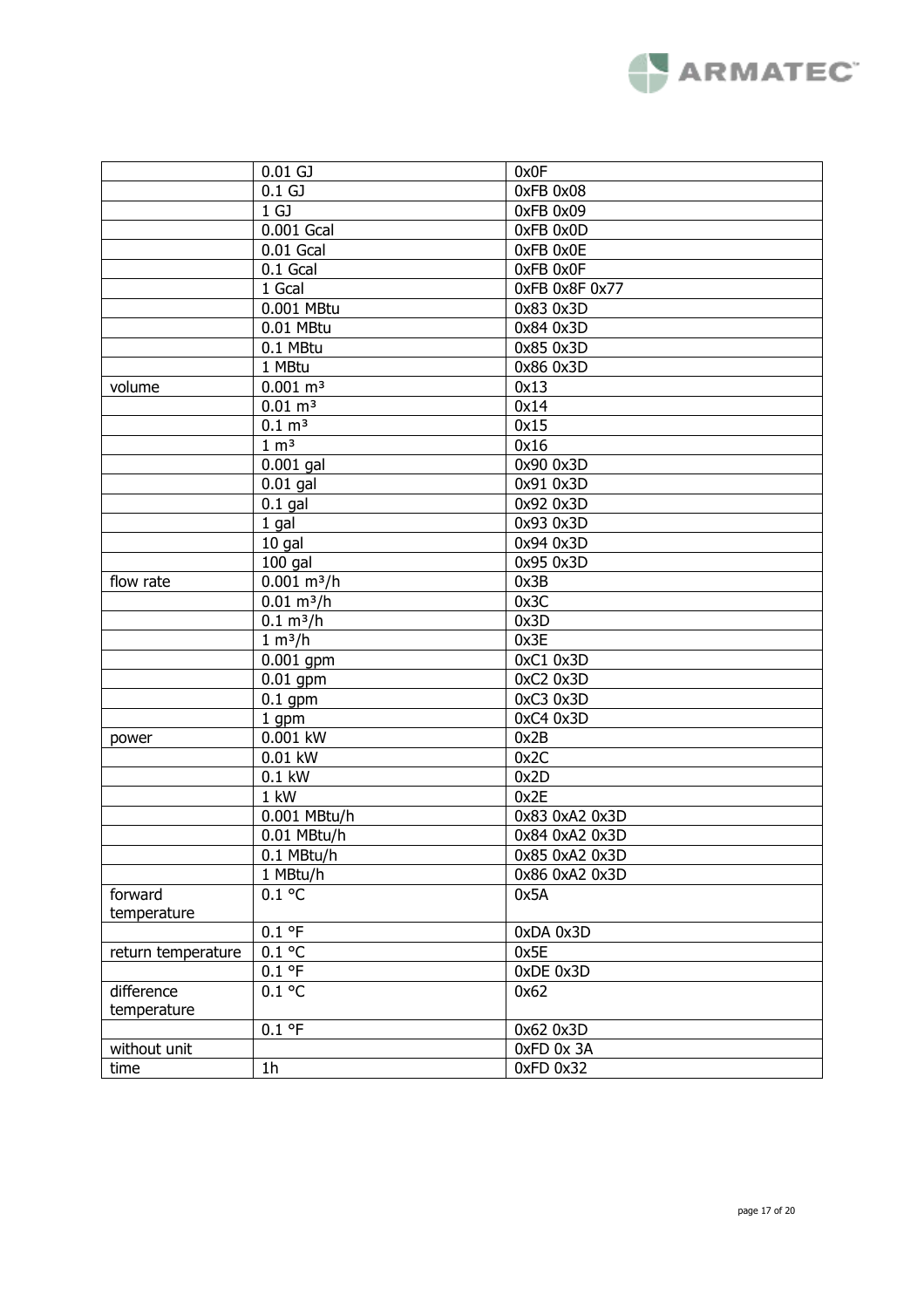

|                    | $0.01$ GJ             | 0x0F           |
|--------------------|-----------------------|----------------|
|                    | 0.1 <sub>GJ</sub>     | 0xFB 0x08      |
|                    | 1 <sub>GJ</sub>       | 0xFB 0x09      |
|                    | 0.001 Gcal            | 0xFB 0x0D      |
|                    | $0.01$ Gcal           | 0xFB 0x0E      |
|                    | $0.1$ Gcal            | OxFB OxOF      |
|                    | 1 Gcal                | OxFB 0x8F 0x77 |
|                    | 0.001 MBtu            | 0x83 0x3D      |
|                    | 0.01 MBtu             | 0x84 0x3D      |
|                    | 0.1 MBtu              | 0x85 0x3D      |
|                    | 1 MBtu                | 0x86 0x3D      |
| volume             | $0.001 \text{ m}^3$   | 0x13           |
|                    | $0.01 \; \text{m}^3$  | 0x14           |
|                    | $0.1 \, \text{m}^3$   | 0x15           |
|                    | 1 m <sup>3</sup>      | 0x16           |
|                    | $0.001$ gal           | 0x90 0x3D      |
|                    | $0.01$ gal            | 0x91 0x3D      |
|                    | $0.1$ gal             | 0x92 0x3D      |
|                    | 1 gal                 | 0x93 0x3D      |
|                    | 10 gal                | 0x94 0x3D      |
|                    | $100$ gal             | 0x95 0x3D      |
| flow rate          | $0.001 \text{ m}^3/h$ | 0x3B           |
|                    | $0.01 \text{ m}^3/h$  | 0x3C           |
|                    | $0.1 \text{ m}^3/h$   | 0x3D           |
|                    | 1 m <sup>3</sup> /h   | 0x3E           |
|                    | $0.001$ gpm           | 0xC1 0x3D      |
|                    | $0.01$ gpm            | 0xC2 0x3D      |
|                    | $0.1$ gpm             | 0xC3 0x3D      |
|                    |                       | 0xC4 0x3D      |
|                    | 1 gpm<br>0.001 kW     | 0x2B           |
| power              |                       |                |
|                    | 0.01 kW               | 0x2C           |
|                    | $0.1$ kW              | 0x2D           |
|                    | 1 kW                  | 0x2E           |
|                    | 0.001 MBtu/h          | 0x83 0xA2 0x3D |
|                    | 0.01 MBtu/h           | 0x84 0xA2 0x3D |
|                    | 0.1 MBtu/h            | 0x85 0xA2 0x3D |
|                    | 1 MBtu/h              | 0x86 0xA2 0x3D |
| forward            | $0.1$ °C              | 0x5A           |
| temperature        |                       |                |
|                    | 0.1 °F                | 0xDA 0x3D      |
| return temperature | $0.1$ °C              | 0x5E           |
|                    | 0.1 °F                | 0xDE 0x3D      |
| difference         | $0.1$ °C              | 0x62           |
| temperature        |                       |                |
|                    | 0.1 °F                | 0x62 0x3D      |
| without unit       |                       | 0xFD 0x 3A     |
| time               | 1 <sub>h</sub>        | $0xFD$ $0x32$  |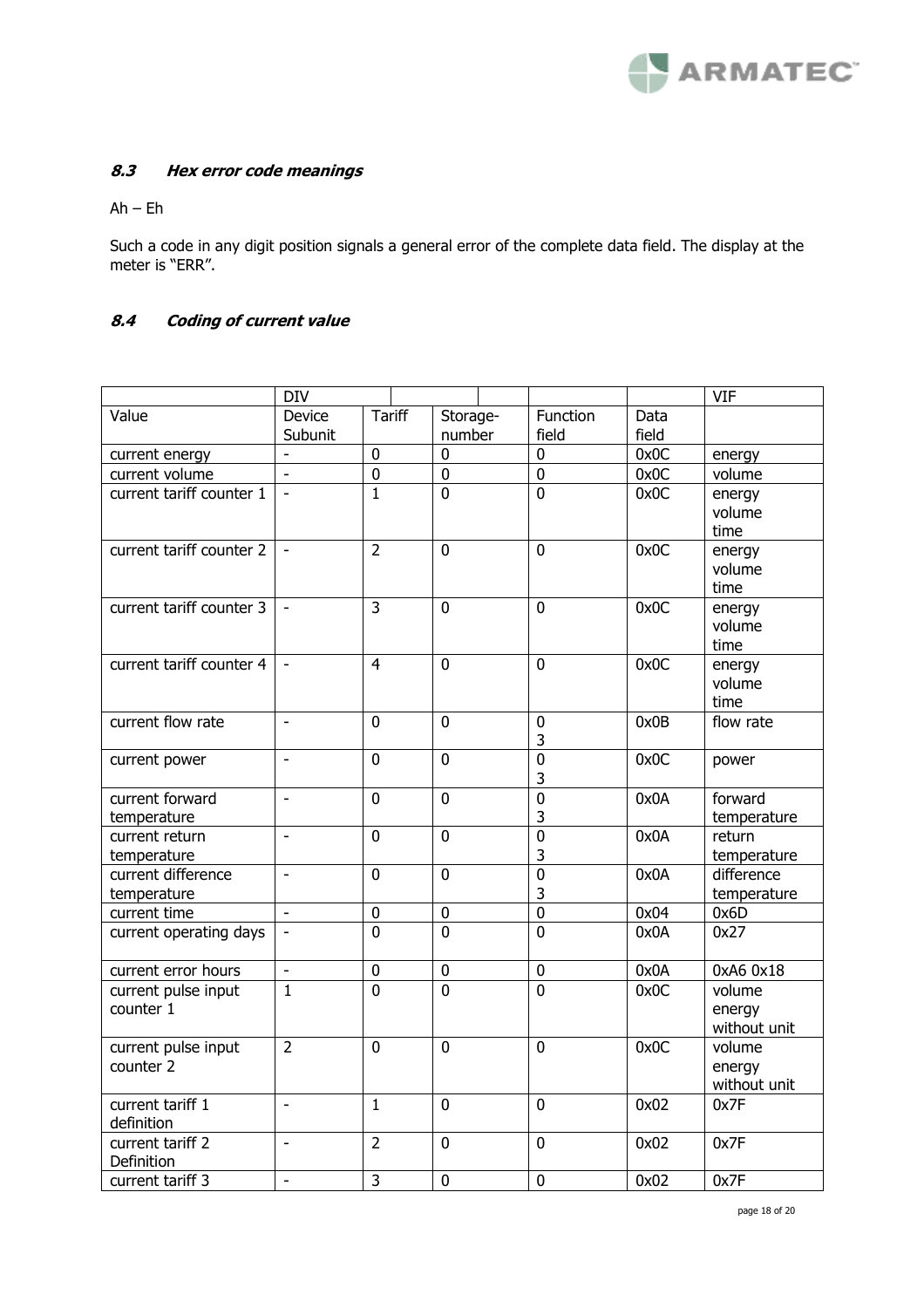

# **8.3 Hex error code meanings**

Ah – Eh

Such a code in any digit position signals a general error of the complete data field. The display at the meter is "ERR".

# **8.4 Coding of current value**

|                          | <b>DIV</b>               |                |                |                |       | <b>VIF</b>   |
|--------------------------|--------------------------|----------------|----------------|----------------|-------|--------------|
| Value                    | Device                   | <b>Tariff</b>  | Storage-       | Function       | Data  |              |
|                          | Subunit                  |                | number         | field          | field |              |
| current energy           | ä,                       | $\mathbf 0$    | 0              | $\mathbf 0$    | 0x0C  | energy       |
| current volume           | $\overline{\phantom{a}}$ | $\pmb{0}$      | $\mathbf 0$    | $\overline{0}$ | 0x0C  | volume       |
| current tariff counter 1 | ä,                       | 1              | $\overline{0}$ | $\mathbf 0$    | 0x0C  | energy       |
|                          |                          |                |                |                |       | volume       |
|                          |                          |                |                |                |       | time         |
| current tariff counter 2 | ä,                       | $\overline{2}$ | $\overline{0}$ | $\overline{0}$ | 0x0C  | energy       |
|                          |                          |                |                |                |       | volume       |
|                          |                          |                |                |                |       | time         |
| current tariff counter 3 |                          | $\overline{3}$ | $\overline{0}$ | $\mathbf{0}$   | 0x0C  | energy       |
|                          |                          |                |                |                |       | volume       |
|                          |                          |                |                |                |       | time         |
| current tariff counter 4 | $\overline{\phantom{a}}$ | $\overline{4}$ | $\overline{0}$ | $\mathbf 0$    | 0x0C  | energy       |
|                          |                          |                |                |                |       | volume       |
|                          |                          |                |                |                |       | time         |
| current flow rate        | $\overline{\phantom{a}}$ | $\mathbf 0$    | $\overline{0}$ | $\mathbf 0$    | 0x0B  | flow rate    |
|                          |                          |                |                | 3              |       |              |
| current power            | $\overline{a}$           | $\overline{0}$ | $\overline{0}$ | $\overline{0}$ | 0x0C  | power        |
|                          |                          |                |                | 3              |       |              |
| current forward          | $\frac{1}{2}$            | $\mathbf 0$    | 0              | $\overline{0}$ | 0x0A  | forward      |
| temperature              |                          |                |                | 3              |       | temperature  |
| current return           | $\overline{a}$           | $\overline{0}$ | $\overline{0}$ | $\overline{0}$ | 0x0A  | return       |
| temperature              |                          |                |                | 3              |       | temperature  |
| current difference       | $\overline{\phantom{a}}$ | $\overline{0}$ | $\Omega$       | $\overline{0}$ | 0x0A  | difference   |
| temperature              |                          |                |                | 3              |       | temperature  |
| current time             | ä,                       | $\pmb{0}$      | $\pmb{0}$      | $\overline{0}$ | 0x04  | 0x6D         |
| current operating days   |                          | $\overline{0}$ | $\overline{0}$ | $\overline{0}$ | 0x0A  | 0x27         |
|                          |                          |                |                |                |       |              |
| current error hours      | $\overline{\phantom{a}}$ | $\pmb{0}$      | 0              | $\pmb{0}$      | 0x0A  | 0xA6 0x18    |
| current pulse input      | $\mathbf{1}$             | 0              | 0              | $\mathbf{0}$   | 0x0C  | volume       |
| counter 1                |                          |                |                |                |       | energy       |
|                          |                          |                |                |                |       | without unit |
| current pulse input      | $\overline{2}$           | $\mathbf 0$    | $\mathbf 0$    | $\mathbf 0$    | 0x0C  | volume       |
| counter 2                |                          |                |                |                |       | energy       |
|                          |                          |                |                |                |       | without unit |
| current tariff 1         | $\overline{a}$           | $\mathbf{1}$   | $\overline{0}$ | $\mathbf 0$    | 0x02  | 0x7F         |
| definition               |                          |                |                |                |       |              |
| current tariff 2         | $\overline{a}$           | $\overline{2}$ | $\mathbf 0$    | $\mathbf 0$    | 0x02  | 0x7F         |
| Definition               |                          |                |                |                |       |              |
| current tariff 3         | $\mathbf{r}$             | 3              | $\mathbf 0$    | $\overline{0}$ | 0x02  | 0x7F         |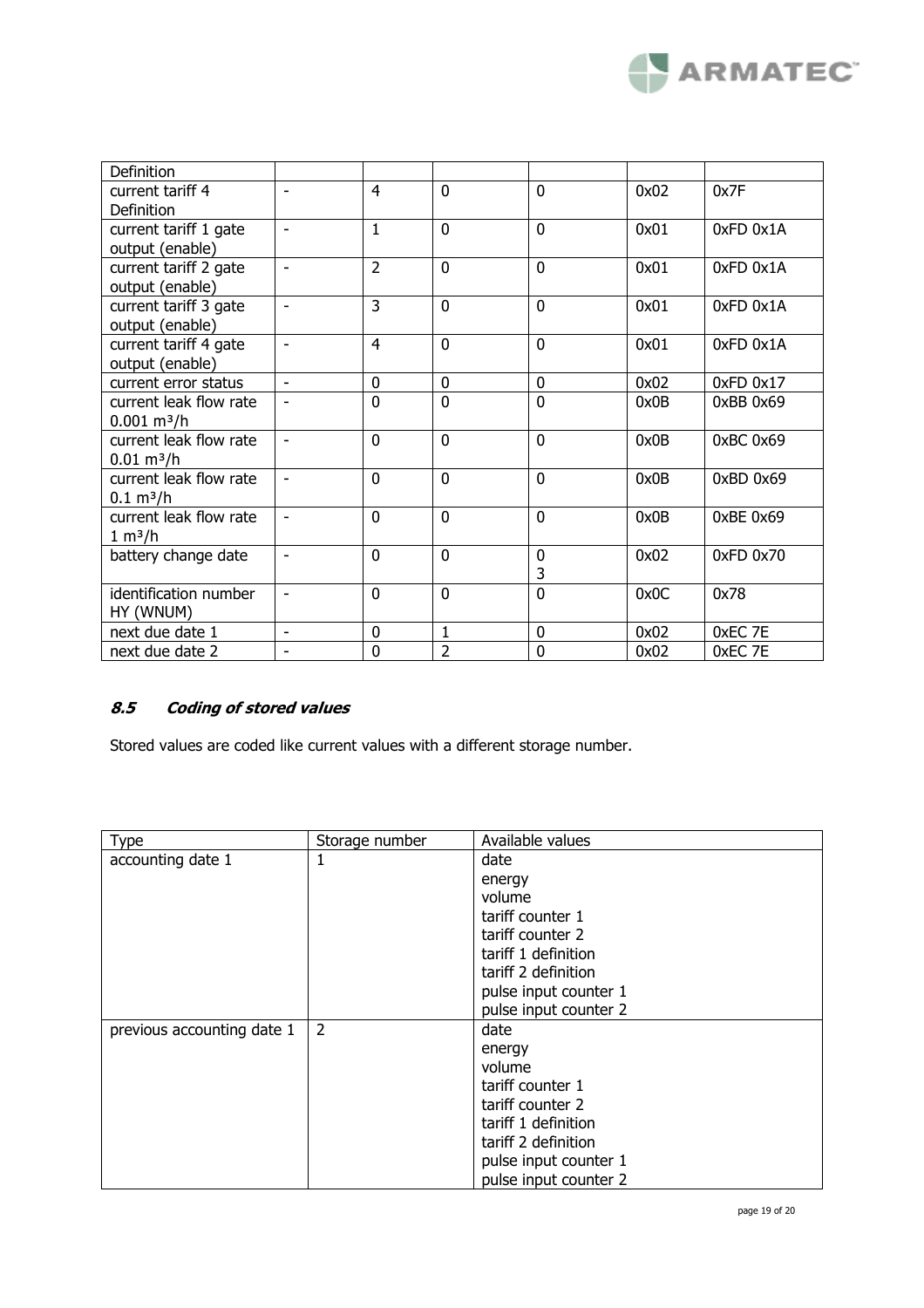

| Definition             |                          |                |                |                |      |               |
|------------------------|--------------------------|----------------|----------------|----------------|------|---------------|
| current tariff 4       | ÷,                       | 4              | $\mathbf{0}$   | $\mathbf{0}$   | 0x02 | 0x7F          |
| Definition             |                          |                |                |                |      |               |
| current tariff 1 gate  | ÷,                       | 1              | $\mathbf{0}$   | $\mathbf{0}$   | 0x01 | $0xFD$ $0x1A$ |
| output (enable)        |                          |                |                |                |      |               |
| current tariff 2 gate  | $\overline{\phantom{m}}$ | $\overline{2}$ | $\overline{0}$ | $\overline{0}$ | 0x01 | 0xFD 0x1A     |
| output (enable)        |                          |                |                |                |      |               |
| current tariff 3 gate  | $\overline{\phantom{a}}$ | 3              | $\overline{0}$ | $\overline{0}$ | 0x01 | $0xFD$ $0x1A$ |
| output (enable)        |                          |                |                |                |      |               |
| current tariff 4 gate  | $\overline{\phantom{0}}$ | 4              | $\mathbf{0}$   | $\mathbf{0}$   | 0x01 | $0xFD$ $0x1A$ |
| output (enable)        |                          |                |                |                |      |               |
| current error status   | $\overline{\phantom{a}}$ | 0              | $\mathbf 0$    | 0              | 0x02 | $0xFD$ $0x17$ |
| current leak flow rate | ۰                        | $\overline{0}$ | $\overline{0}$ | $\overline{0}$ | 0x0B | 0xBB 0x69     |
| $0.001 \text{ m}^3/h$  |                          |                |                |                |      |               |
| current leak flow rate | $\blacksquare$           | $\mathbf{0}$   | $\mathbf{0}$   | $\mathbf{0}$   | 0x0B | $0xBC$ $0x69$ |
| $0.01 \text{ m}^3/h$   |                          |                |                |                |      |               |
| current leak flow rate | $\blacksquare$           | 0              | $\mathbf{0}$   | $\Omega$       | 0x0B | 0xBD 0x69     |
| $0.1 \text{ m}^3/h$    |                          |                |                |                |      |               |
| current leak flow rate | $\overline{\phantom{a}}$ | $\mathbf 0$    | $\overline{0}$ | $\mathbf 0$    | 0x0B | 0xBE0x69      |
| 1 m <sup>3</sup> /h    |                          |                |                |                |      |               |
| battery change date    | ۰                        | $\mathbf{0}$   | $\mathbf{0}$   | $\mathbf{0}$   | 0x02 | $0xFD$ $0x70$ |
|                        |                          |                |                | 3              |      |               |
| identification number  | ÷,                       | 0              | $\mathbf{0}$   | $\mathbf{0}$   | 0x0C | 0x78          |
| HY (WNUM)              |                          |                |                |                |      |               |
| next due date 1        | $\overline{\phantom{0}}$ | $\mathbf 0$    | $\mathbf{1}$   | $\mathbf 0$    | 0x02 | 0xEC 7E       |
| next due date 2        | ۰                        | $\mathbf 0$    | $\overline{2}$ | $\mathbf 0$    | 0x02 | 0xEC 7E       |

# **8.5 Coding of stored values**

Stored values are coded like current values with a different storage number.

| <b>Type</b>                | Storage number | Available values      |
|----------------------------|----------------|-----------------------|
| accounting date 1          | 1              | date                  |
|                            |                | energy                |
|                            |                | volume                |
|                            |                | tariff counter 1      |
|                            |                | tariff counter 2      |
|                            |                | tariff 1 definition   |
|                            |                | tariff 2 definition   |
|                            |                | pulse input counter 1 |
|                            |                | pulse input counter 2 |
| previous accounting date 1 | 2              | date                  |
|                            |                | energy                |
|                            |                | volume                |
|                            |                | tariff counter 1      |
|                            |                | tariff counter 2      |
|                            |                | tariff 1 definition   |
|                            |                | tariff 2 definition   |
|                            |                | pulse input counter 1 |
|                            |                | pulse input counter 2 |